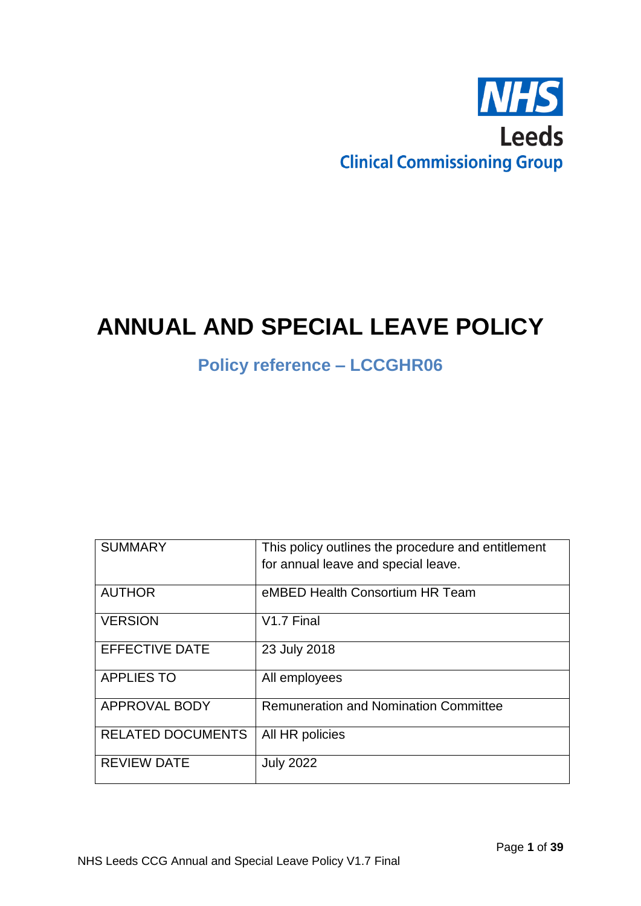

# **ANNUAL AND SPECIAL LEAVE POLICY**

# **Policy reference – LCCGHR06**

| <b>SUMMARY</b>           | This policy outlines the procedure and entitlement<br>for annual leave and special leave. |
|--------------------------|-------------------------------------------------------------------------------------------|
| <b>AUTHOR</b>            | eMBED Health Consortium HR Team                                                           |
| <b>VERSION</b>           | V <sub>1.7</sub> Final                                                                    |
| <b>EFFECTIVE DATE</b>    | 23 July 2018                                                                              |
| <b>APPLIES TO</b>        | All employees                                                                             |
| <b>APPROVAL BODY</b>     | <b>Remuneration and Nomination Committee</b>                                              |
| <b>RELATED DOCUMENTS</b> | All HR policies                                                                           |
| <b>REVIEW DATE</b>       | <b>July 2022</b>                                                                          |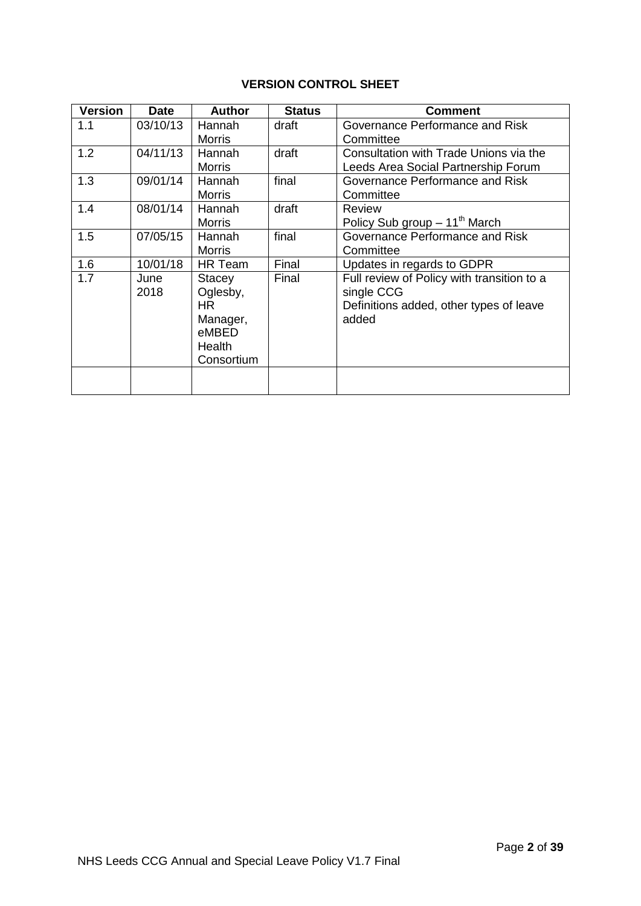# **VERSION CONTROL SHEET**

| <b>Version</b> | <b>Date</b> | <b>Author</b> | <b>Status</b> | <b>Comment</b>                             |
|----------------|-------------|---------------|---------------|--------------------------------------------|
| 1.1            | 03/10/13    | Hannah        | draft         | Governance Performance and Risk            |
|                |             | <b>Morris</b> |               | Committee                                  |
| 1.2            | 04/11/13    | Hannah        | draft         | Consultation with Trade Unions via the     |
|                |             | Morris        |               | Leeds Area Social Partnership Forum        |
| 1.3            | 09/01/14    | Hannah        | final         | Governance Performance and Risk            |
|                |             | <b>Morris</b> |               | Committee                                  |
| 1.4            | 08/01/14    | Hannah        | draft         | Review                                     |
|                |             | <b>Morris</b> |               | Policy Sub group $-11^{\text{th}}$ March   |
| 1.5            | 07/05/15    | Hannah        | final         | Governance Performance and Risk            |
|                |             | <b>Morris</b> |               | Committee                                  |
| 1.6            | 10/01/18    | HR Team       | Final         | Updates in regards to GDPR                 |
| 1.7            | June        | <b>Stacey</b> | Final         | Full review of Policy with transition to a |
|                | 2018        | Oglesby,      |               | single CCG                                 |
|                |             | HR.           |               | Definitions added, other types of leave    |
|                |             | Manager,      |               | added                                      |
|                |             | eMBED         |               |                                            |
|                |             | Health        |               |                                            |
|                |             | Consortium    |               |                                            |
|                |             |               |               |                                            |
|                |             |               |               |                                            |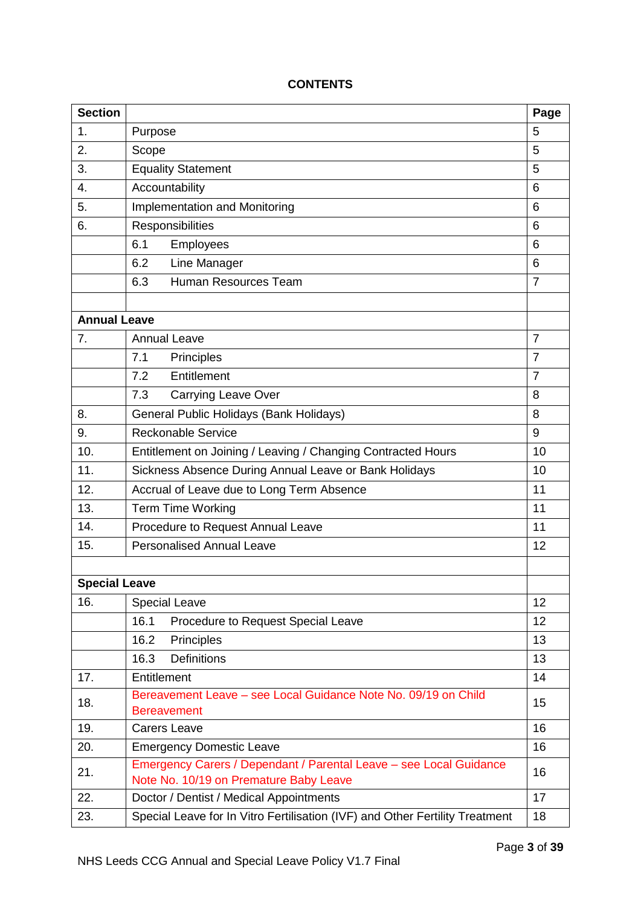# **CONTENTS**

| <b>Section</b>       |                                                                                                              | Page           |
|----------------------|--------------------------------------------------------------------------------------------------------------|----------------|
| 1.                   | Purpose<br>5                                                                                                 |                |
| 2.                   | 5<br>Scope                                                                                                   |                |
| 3.                   | <b>Equality Statement</b>                                                                                    |                |
| 4.                   | Accountability                                                                                               | 6              |
| 5.                   | Implementation and Monitoring                                                                                | 6              |
| 6.                   | Responsibilities                                                                                             | 6              |
|                      | Employees<br>6.1                                                                                             | 6              |
|                      | Line Manager<br>6.2                                                                                          | 6              |
|                      | Human Resources Team<br>6.3                                                                                  | $\overline{7}$ |
|                      |                                                                                                              |                |
| <b>Annual Leave</b>  |                                                                                                              |                |
| 7.                   | <b>Annual Leave</b>                                                                                          | $\overline{7}$ |
|                      | 7.1<br><b>Principles</b>                                                                                     | $\overline{7}$ |
|                      | Entitlement<br>7.2                                                                                           | $\overline{7}$ |
|                      | 7.3<br><b>Carrying Leave Over</b>                                                                            | 8              |
| 8.                   | General Public Holidays (Bank Holidays)                                                                      | 8              |
| 9.                   | <b>Reckonable Service</b><br>9                                                                               |                |
| 10.                  | Entitlement on Joining / Leaving / Changing Contracted Hours<br>10                                           |                |
| 11.                  | Sickness Absence During Annual Leave or Bank Holidays<br>10                                                  |                |
| 12.                  | Accrual of Leave due to Long Term Absence<br>11                                                              |                |
| 13.                  | Term Time Working<br>11                                                                                      |                |
| 14.                  | Procedure to Request Annual Leave<br>11                                                                      |                |
| 15.                  | <b>Personalised Annual Leave</b>                                                                             |                |
|                      |                                                                                                              |                |
| <b>Special Leave</b> |                                                                                                              |                |
| 16.                  | <b>Special Leave</b>                                                                                         | 12             |
|                      | 16.1<br>Procedure to Request Special Leave                                                                   | 12             |
|                      | 16.2<br>Principles                                                                                           | 13             |
|                      | <b>Definitions</b><br>16.3                                                                                   | 13             |
| 17.                  | Entitlement                                                                                                  | 14             |
| 18.                  | Bereavement Leave – see Local Guidance Note No. 09/19 on Child<br><b>Bereavement</b>                         | 15             |
| 19.                  | <b>Carers Leave</b><br>16                                                                                    |                |
| 20.                  | <b>Emergency Domestic Leave</b><br>16                                                                        |                |
| 21.                  | Emergency Carers / Dependant / Parental Leave - see Local Guidance<br>Note No. 10/19 on Premature Baby Leave | 16             |
| 22.                  | Doctor / Dentist / Medical Appointments                                                                      | 17             |
| 23.                  | Special Leave for In Vitro Fertilisation (IVF) and Other Fertility Treatment                                 | 18             |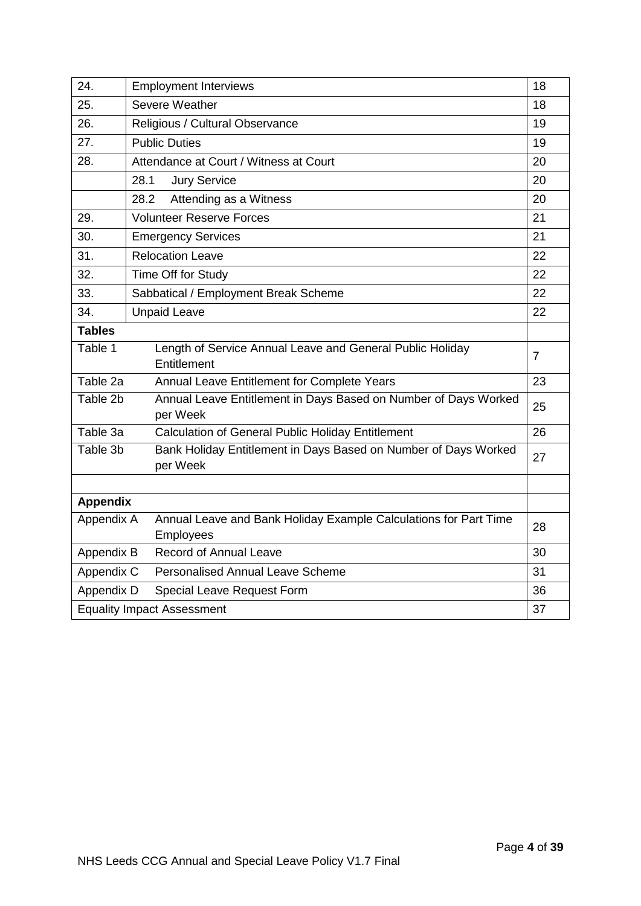| 24.                                                                                 | <b>Employment Interviews</b>                                                         |                |
|-------------------------------------------------------------------------------------|--------------------------------------------------------------------------------------|----------------|
| 25.                                                                                 | Severe Weather                                                                       |                |
| 26.                                                                                 | Religious / Cultural Observance                                                      |                |
| 27.                                                                                 | <b>Public Duties</b>                                                                 | 19             |
| 28.                                                                                 | Attendance at Court / Witness at Court                                               | 20             |
|                                                                                     | <b>Jury Service</b><br>28.1                                                          | 20             |
|                                                                                     | 28.2<br>Attending as a Witness                                                       | 20             |
| 29.                                                                                 | <b>Volunteer Reserve Forces</b>                                                      | 21             |
| 30.                                                                                 | <b>Emergency Services</b>                                                            | 21             |
| 31.                                                                                 | <b>Relocation Leave</b>                                                              | 22             |
| 32.                                                                                 | Time Off for Study                                                                   | 22             |
| 33.                                                                                 | Sabbatical / Employment Break Scheme                                                 | 22             |
| 34.                                                                                 | <b>Unpaid Leave</b>                                                                  | 22             |
| <b>Tables</b>                                                                       |                                                                                      |                |
| Table 1<br>Length of Service Annual Leave and General Public Holiday<br>Entitlement |                                                                                      | $\overline{7}$ |
| Table 2a<br>Annual Leave Entitlement for Complete Years                             |                                                                                      | 23             |
| Table 2b                                                                            | Annual Leave Entitlement in Days Based on Number of Days Worked<br>per Week          | 25             |
| Table 3a                                                                            | Calculation of General Public Holiday Entitlement                                    | 26             |
| Table 3b                                                                            | Bank Holiday Entitlement in Days Based on Number of Days Worked<br>per Week          | 27             |
|                                                                                     |                                                                                      |                |
| <b>Appendix</b>                                                                     |                                                                                      |                |
| Appendix A                                                                          | Annual Leave and Bank Holiday Example Calculations for Part Time<br><b>Employees</b> | 28             |
| Appendix B                                                                          | <b>Record of Annual Leave</b>                                                        | 30             |
| Appendix C                                                                          | <b>Personalised Annual Leave Scheme</b>                                              | 31             |
| Appendix D                                                                          | Special Leave Request Form                                                           | 36             |
| <b>Equality Impact Assessment</b><br>37                                             |                                                                                      |                |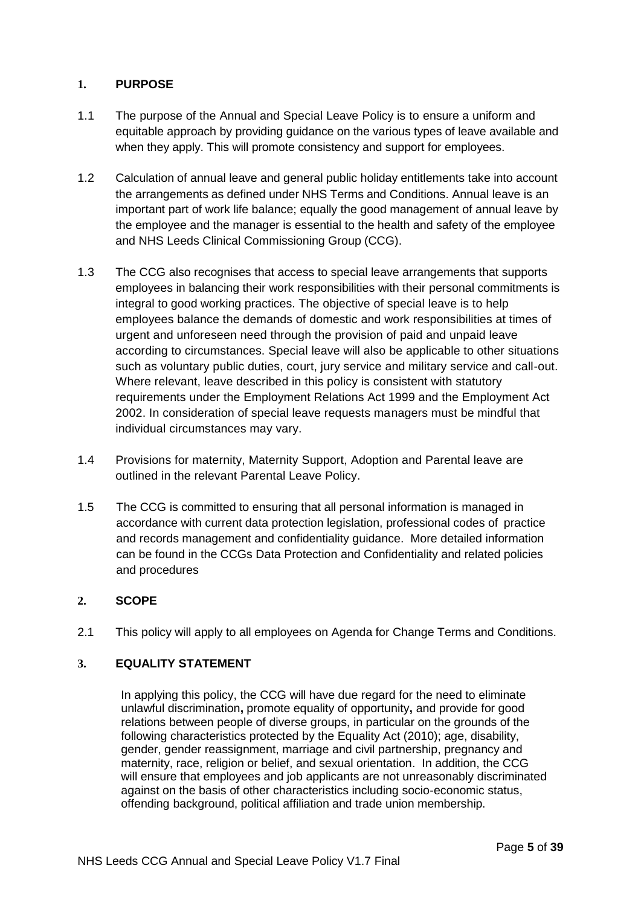## **1. PURPOSE**

- 1.1 The purpose of the Annual and Special Leave Policy is to ensure a uniform and equitable approach by providing guidance on the various types of leave available and when they apply. This will promote consistency and support for employees.
- 1.2 Calculation of annual leave and general public holiday entitlements take into account the arrangements as defined under NHS Terms and Conditions. Annual leave is an important part of work life balance; equally the good management of annual leave by the employee and the manager is essential to the health and safety of the employee and NHS Leeds Clinical Commissioning Group (CCG).
- 1.3 The CCG also recognises that access to special leave arrangements that supports employees in balancing their work responsibilities with their personal commitments is integral to good working practices. The objective of special leave is to help employees balance the demands of domestic and work responsibilities at times of urgent and unforeseen need through the provision of paid and unpaid leave according to circumstances. Special leave will also be applicable to other situations such as voluntary public duties, court, jury service and military service and call-out. Where relevant, leave described in this policy is consistent with statutory requirements under the Employment Relations Act 1999 and the Employment Act 2002. In consideration of special leave requests managers must be mindful that individual circumstances may vary.
- 1.4 Provisions for maternity, Maternity Support, Adoption and Parental leave are outlined in the relevant Parental Leave Policy.
- 1.5 The CCG is committed to ensuring that all personal information is managed in accordance with current data protection legislation, professional codes of practice and records management and confidentiality guidance. More detailed information can be found in the CCGs Data Protection and Confidentiality and related policies and procedures

#### **2. SCOPE**

2.1 This policy will apply to all employees on Agenda for Change Terms and Conditions.

#### **3. EQUALITY STATEMENT**

In applying this policy, the CCG will have due regard for the need to eliminate unlawful discrimination**,** promote equality of opportunity**,** and provide for good relations between people of diverse groups, in particular on the grounds of the following characteristics protected by the Equality Act (2010); age, disability, gender, gender reassignment, marriage and civil partnership, pregnancy and maternity, race, religion or belief, and sexual orientation. In addition, the CCG will ensure that employees and job applicants are not unreasonably discriminated against on the basis of other characteristics including socio-economic status, offending background, political affiliation and trade union membership.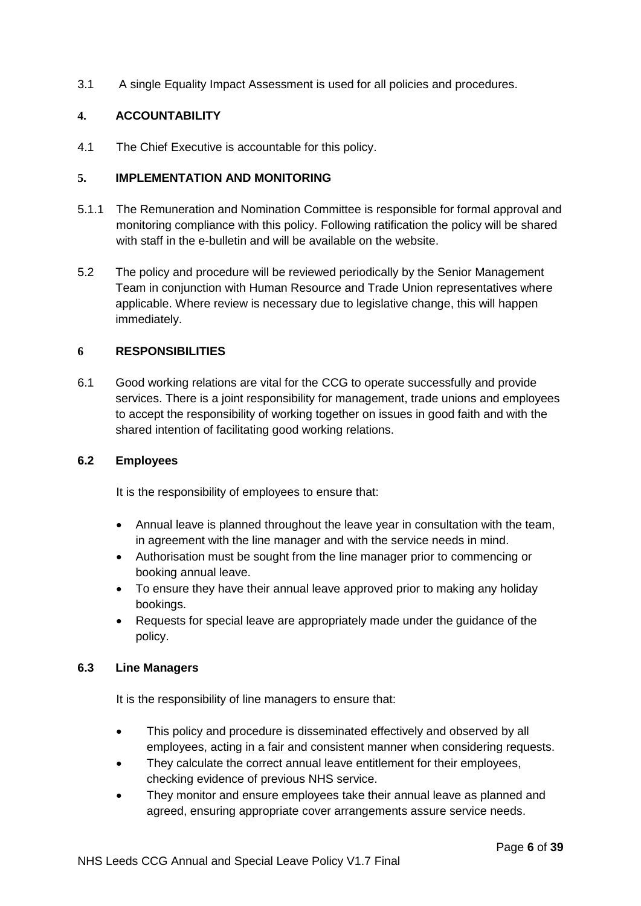3.1 A single Equality Impact Assessment is used for all policies and procedures.

#### **4. ACCOUNTABILITY**

4.1 The Chief Executive is accountable for this policy.

#### **5. IMPLEMENTATION AND MONITORING**

- 5.1.1 The Remuneration and Nomination Committee is responsible for formal approval and monitoring compliance with this policy. Following ratification the policy will be shared with staff in the e-bulletin and will be available on the website.
- 5.2 The policy and procedure will be reviewed periodically by the Senior Management Team in conjunction with Human Resource and Trade Union representatives where applicable. Where review is necessary due to legislative change, this will happen immediately.

#### **6 RESPONSIBILITIES**

6.1 Good working relations are vital for the CCG to operate successfully and provide services. There is a joint responsibility for management, trade unions and employees to accept the responsibility of working together on issues in good faith and with the shared intention of facilitating good working relations.

#### **6.2 Employees**

It is the responsibility of employees to ensure that:

- Annual leave is planned throughout the leave year in consultation with the team, in agreement with the line manager and with the service needs in mind.
- Authorisation must be sought from the line manager prior to commencing or booking annual leave.
- To ensure they have their annual leave approved prior to making any holiday bookings.
- Requests for special leave are appropriately made under the guidance of the policy.

#### **6.3 Line Managers**

It is the responsibility of line managers to ensure that:

- This policy and procedure is disseminated effectively and observed by all employees, acting in a fair and consistent manner when considering requests.
- They calculate the correct annual leave entitlement for their employees, checking evidence of previous NHS service.
- They monitor and ensure employees take their annual leave as planned and agreed, ensuring appropriate cover arrangements assure service needs.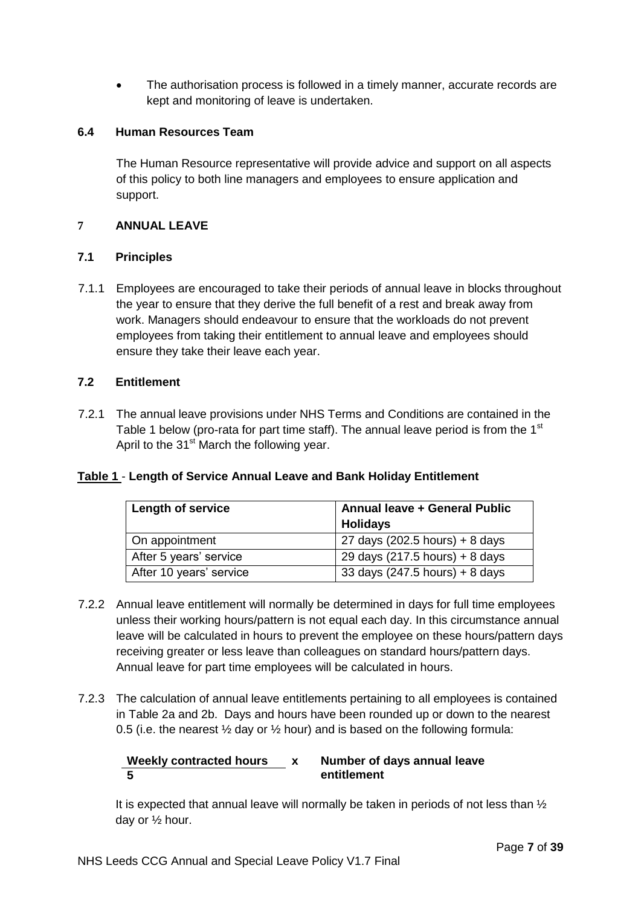The authorisation process is followed in a timely manner, accurate records are kept and monitoring of leave is undertaken.

#### **6.4 Human Resources Team**

The Human Resource representative will provide advice and support on all aspects of this policy to both line managers and employees to ensure application and support.

#### **7 ANNUAL LEAVE**

## **7.1 Principles**

7.1.1 Employees are encouraged to take their periods of annual leave in blocks throughout the year to ensure that they derive the full benefit of a rest and break away from work. Managers should endeavour to ensure that the workloads do not prevent employees from taking their entitlement to annual leave and employees should ensure they take their leave each year.

## **7.2 Entitlement**

7.2.1 The annual leave provisions under NHS Terms and Conditions are contained in the Table 1 below (pro-rata for part time staff). The annual leave period is from the  $1<sup>st</sup>$ April to the 31<sup>st</sup> March the following year.

# **Table 1** - **Length of Service Annual Leave and Bank Holiday Entitlement**

| <b>Length of service</b> | <b>Annual leave + General Public</b> |  |
|--------------------------|--------------------------------------|--|
|                          | <b>Holidays</b>                      |  |
| On appointment           | 27 days (202.5 hours) + 8 days       |  |
| After 5 years' service   | 29 days (217.5 hours) + 8 days       |  |
| After 10 years' service  | 33 days $(247.5$ hours) + 8 days     |  |

- 7.2.2 Annual leave entitlement will normally be determined in days for full time employees unless their working hours/pattern is not equal each day. In this circumstance annual leave will be calculated in hours to prevent the employee on these hours/pattern days receiving greater or less leave than colleagues on standard hours/pattern days. Annual leave for part time employees will be calculated in hours.
- 7.2.3 The calculation of annual leave entitlements pertaining to all employees is contained in Table 2a and 2b. Days and hours have been rounded up or down to the nearest 0.5 (i.e. the nearest  $\frac{1}{2}$  day or  $\frac{1}{2}$  hour) and is based on the following formula:

#### **Weekly contracted hours x Number of days annual leave 5 entitlement**

It is expected that annual leave will normally be taken in periods of not less than  $\frac{1}{2}$ day or ½ hour.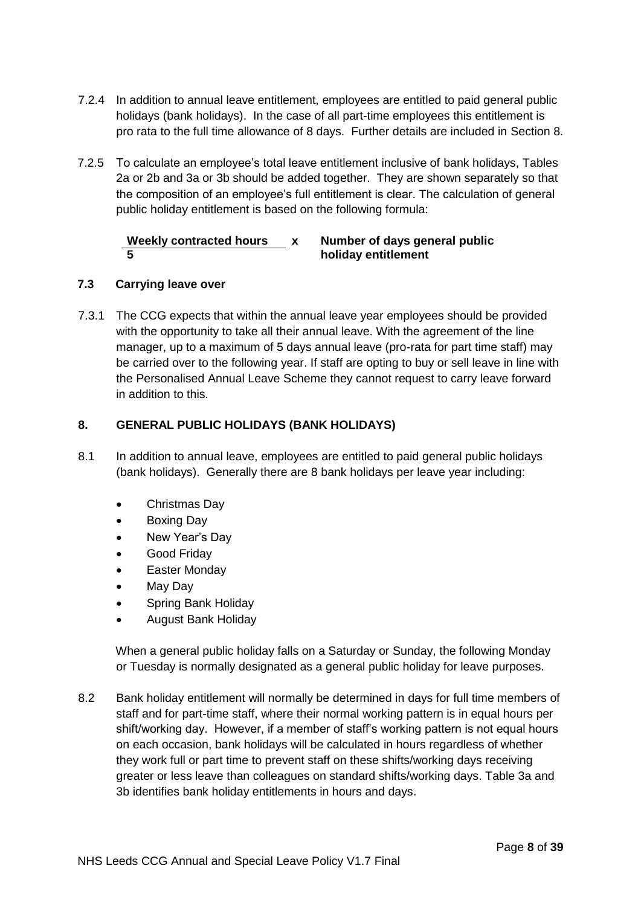- 7.2.4 In addition to annual leave entitlement, employees are entitled to paid general public holidays (bank holidays). In the case of all part-time employees this entitlement is pro rata to the full time allowance of 8 days. Further details are included in Section 8.
- 7.2.5 To calculate an employee's total leave entitlement inclusive of bank holidays, Tables 2a or 2b and 3a or 3b should be added together. They are shown separately so that the composition of an employee's full entitlement is clear. The calculation of general public holiday entitlement is based on the following formula:

# **Weekly contracted hours x Number of days general public 5 holiday entitlement**

## **7.3 Carrying leave over**

7.3.1 The CCG expects that within the annual leave year employees should be provided with the opportunity to take all their annual leave. With the agreement of the line manager, up to a maximum of 5 days annual leave (pro-rata for part time staff) may be carried over to the following year. If staff are opting to buy or sell leave in line with the Personalised Annual Leave Scheme they cannot request to carry leave forward in addition to this.

## **8. GENERAL PUBLIC HOLIDAYS (BANK HOLIDAYS)**

- 8.1 In addition to annual leave, employees are entitled to paid general public holidays (bank holidays). Generally there are 8 bank holidays per leave year including:
	- Christmas Day
	- Boxing Day
	- New Year's Day
	- Good Friday
	- Easter Monday
	- May Day
	- Spring Bank Holiday
	- August Bank Holiday

When a general public holiday falls on a Saturday or Sunday, the following Monday or Tuesday is normally designated as a general public holiday for leave purposes.

8.2 Bank holiday entitlement will normally be determined in days for full time members of staff and for part-time staff, where their normal working pattern is in equal hours per shift/working day. However, if a member of staff's working pattern is not equal hours on each occasion, bank holidays will be calculated in hours regardless of whether they work full or part time to prevent staff on these shifts/working days receiving greater or less leave than colleagues on standard shifts/working days. Table 3a and 3b identifies bank holiday entitlements in hours and days.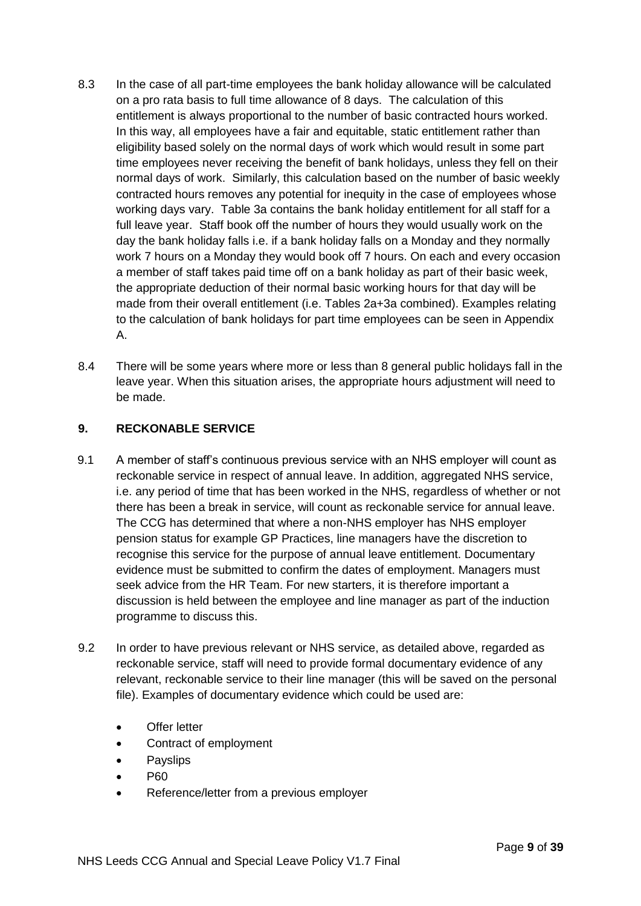- 8.3 In the case of all part-time employees the bank holiday allowance will be calculated on a pro rata basis to full time allowance of 8 days. The calculation of this entitlement is always proportional to the number of basic contracted hours worked. In this way, all employees have a fair and equitable, static entitlement rather than eligibility based solely on the normal days of work which would result in some part time employees never receiving the benefit of bank holidays, unless they fell on their normal days of work. Similarly, this calculation based on the number of basic weekly contracted hours removes any potential for inequity in the case of employees whose working days vary. Table 3a contains the bank holiday entitlement for all staff for a full leave year. Staff book off the number of hours they would usually work on the day the bank holiday falls i.e. if a bank holiday falls on a Monday and they normally work 7 hours on a Monday they would book off 7 hours. On each and every occasion a member of staff takes paid time off on a bank holiday as part of their basic week, the appropriate deduction of their normal basic working hours for that day will be made from their overall entitlement (i.e. Tables 2a+3a combined). Examples relating to the calculation of bank holidays for part time employees can be seen in Appendix A.
- 8.4 There will be some years where more or less than 8 general public holidays fall in the leave year. When this situation arises, the appropriate hours adjustment will need to be made.

## **9. RECKONABLE SERVICE**

- 9.1 A member of staff's continuous previous service with an NHS employer will count as reckonable service in respect of annual leave. In addition, aggregated NHS service, i.e. any period of time that has been worked in the NHS, regardless of whether or not there has been a break in service, will count as reckonable service for annual leave. The CCG has determined that where a non-NHS employer has NHS employer pension status for example GP Practices, line managers have the discretion to recognise this service for the purpose of annual leave entitlement. Documentary evidence must be submitted to confirm the dates of employment. Managers must seek advice from the HR Team. For new starters, it is therefore important a discussion is held between the employee and line manager as part of the induction programme to discuss this.
- 9.2 In order to have previous relevant or NHS service, as detailed above, regarded as reckonable service, staff will need to provide formal documentary evidence of any relevant, reckonable service to their line manager (this will be saved on the personal file). Examples of documentary evidence which could be used are:
	- Offer letter
	- Contract of employment
	- **Payslips**
	- P60
	- Reference/letter from a previous employer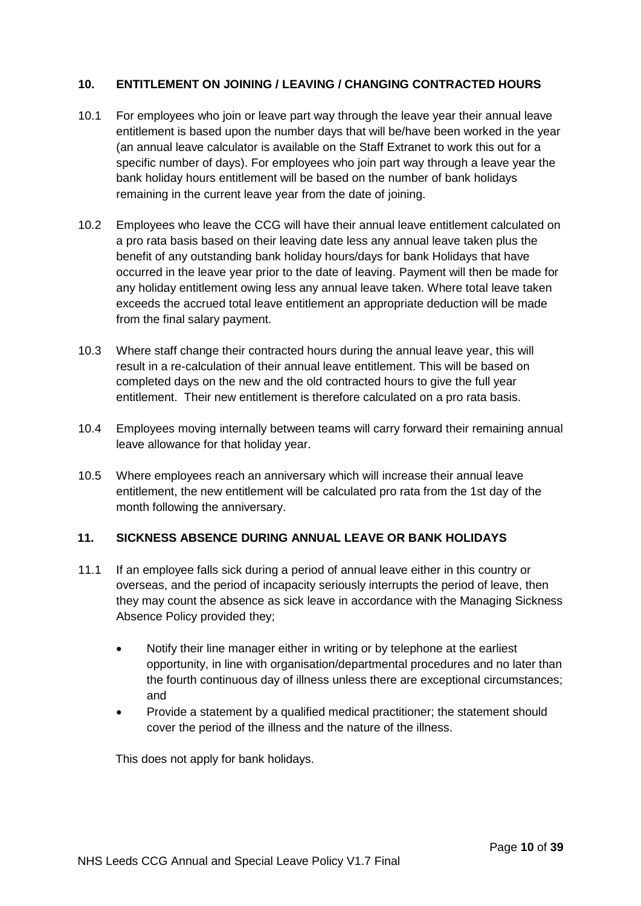## **10. ENTITLEMENT ON JOINING / LEAVING / CHANGING CONTRACTED HOURS**

- 10.1 For employees who join or leave part way through the leave year their annual leave entitlement is based upon the number days that will be/have been worked in the year (an annual leave calculator is available on the Staff Extranet to work this out for a specific number of days). For employees who join part way through a leave year the bank holiday hours entitlement will be based on the number of bank holidays remaining in the current leave year from the date of joining.
- 10.2 Employees who leave the CCG will have their annual leave entitlement calculated on a pro rata basis based on their leaving date less any annual leave taken plus the benefit of any outstanding bank holiday hours/days for bank Holidays that have occurred in the leave year prior to the date of leaving. Payment will then be made for any holiday entitlement owing less any annual leave taken. Where total leave taken exceeds the accrued total leave entitlement an appropriate deduction will be made from the final salary payment.
- 10.3 Where staff change their contracted hours during the annual leave year, this will result in a re-calculation of their annual leave entitlement. This will be based on completed days on the new and the old contracted hours to give the full year entitlement. Their new entitlement is therefore calculated on a pro rata basis.
- 10.4 Employees moving internally between teams will carry forward their remaining annual leave allowance for that holiday year.
- 10.5 Where employees reach an anniversary which will increase their annual leave entitlement, the new entitlement will be calculated pro rata from the 1st day of the month following the anniversary.

# **11. SICKNESS ABSENCE DURING ANNUAL LEAVE OR BANK HOLIDAYS**

- 11.1 If an employee falls sick during a period of annual leave either in this country or overseas, and the period of incapacity seriously interrupts the period of leave, then they may count the absence as sick leave in accordance with the Managing Sickness Absence Policy provided they;
	- Notify their line manager either in writing or by telephone at the earliest opportunity, in line with organisation/departmental procedures and no later than the fourth continuous day of illness unless there are exceptional circumstances; and
	- Provide a statement by a qualified medical practitioner; the statement should cover the period of the illness and the nature of the illness.

This does not apply for bank holidays.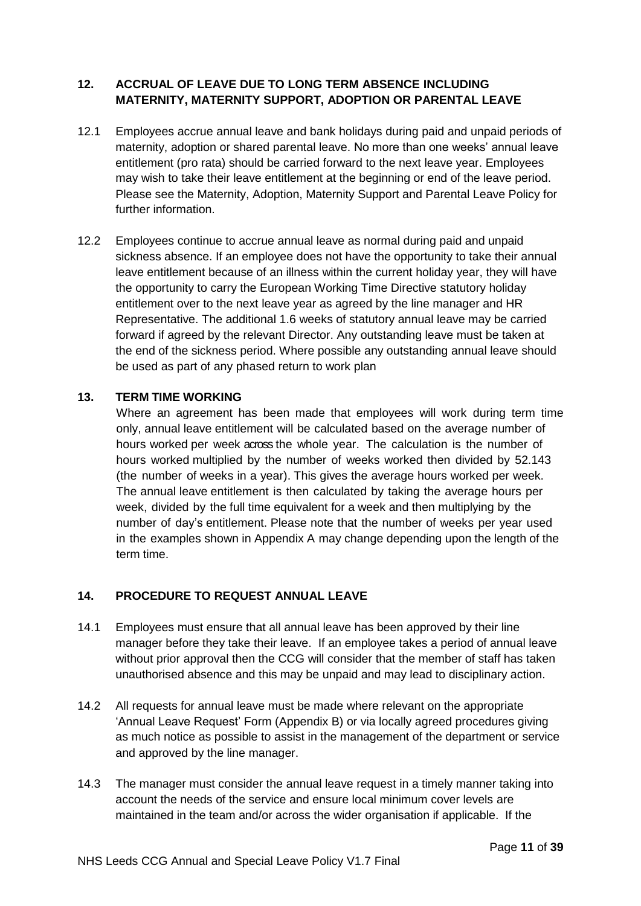# **12. ACCRUAL OF LEAVE DUE TO LONG TERM ABSENCE INCLUDING MATERNITY, MATERNITY SUPPORT, ADOPTION OR PARENTAL LEAVE**

- 12.1 Employees accrue annual leave and bank holidays during paid and unpaid periods of maternity, adoption or shared parental leave. No more than one weeks' annual leave entitlement (pro rata) should be carried forward to the next leave year. Employees may wish to take their leave entitlement at the beginning or end of the leave period. Please see the Maternity, Adoption, Maternity Support and Parental Leave Policy for further information.
- 12.2 Employees continue to accrue annual leave as normal during paid and unpaid sickness absence. If an employee does not have the opportunity to take their annual leave entitlement because of an illness within the current holiday year, they will have the opportunity to carry the European Working Time Directive statutory holiday entitlement over to the next leave year as agreed by the line manager and HR Representative. The additional 1.6 weeks of statutory annual leave may be carried forward if agreed by the relevant Director. Any outstanding leave must be taken at the end of the sickness period. Where possible any outstanding annual leave should be used as part of any phased return to work plan

#### **13. TERM TIME WORKING**

Where an agreement has been made that employees will work during term time only, annual leave entitlement will be calculated based on the average number of hours worked per week across the whole year. The calculation is the number of hours worked multiplied by the number of weeks worked then divided by 52.143 (the number of weeks in a year). This gives the average hours worked per week. The annual leave entitlement is then calculated by taking the average hours per week, divided by the full time equivalent for a week and then multiplying by the number of day's entitlement. Please note that the number of weeks per year used in the examples shown in Appendix A may change depending upon the length of the term time.

#### **14. PROCEDURE TO REQUEST ANNUAL LEAVE**

- 14.1 Employees must ensure that all annual leave has been approved by their line manager before they take their leave. If an employee takes a period of annual leave without prior approval then the CCG will consider that the member of staff has taken unauthorised absence and this may be unpaid and may lead to disciplinary action.
- 14.2 All requests for annual leave must be made where relevant on the appropriate 'Annual Leave Request' Form (Appendix B) or via locally agreed procedures giving as much notice as possible to assist in the management of the department or service and approved by the line manager.
- 14.3 The manager must consider the annual leave request in a timely manner taking into account the needs of the service and ensure local minimum cover levels are maintained in the team and/or across the wider organisation if applicable. If the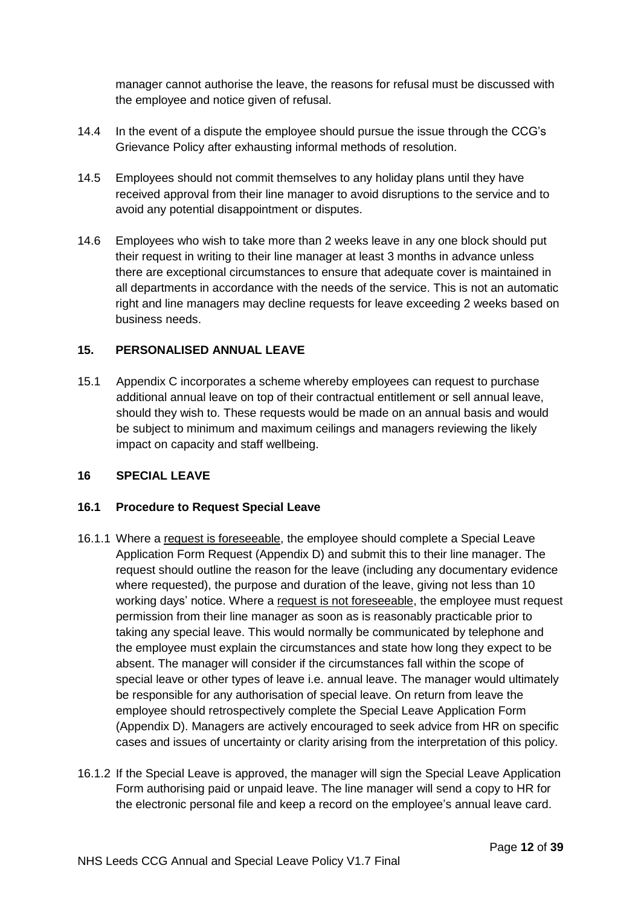manager cannot authorise the leave, the reasons for refusal must be discussed with the employee and notice given of refusal.

- 14.4 In the event of a dispute the employee should pursue the issue through the CCG's Grievance Policy after exhausting informal methods of resolution.
- 14.5 Employees should not commit themselves to any holiday plans until they have received approval from their line manager to avoid disruptions to the service and to avoid any potential disappointment or disputes.
- 14.6 Employees who wish to take more than 2 weeks leave in any one block should put their request in writing to their line manager at least 3 months in advance unless there are exceptional circumstances to ensure that adequate cover is maintained in all departments in accordance with the needs of the service. This is not an automatic right and line managers may decline requests for leave exceeding 2 weeks based on business needs.

# **15. PERSONALISED ANNUAL LEAVE**

15.1 Appendix C incorporates a scheme whereby employees can request to purchase additional annual leave on top of their contractual entitlement or sell annual leave, should they wish to. These requests would be made on an annual basis and would be subject to minimum and maximum ceilings and managers reviewing the likely impact on capacity and staff wellbeing.

#### **16 SPECIAL LEAVE**

#### **16.1 Procedure to Request Special Leave**

- 16.1.1 Where a request is foreseeable, the employee should complete a Special Leave Application Form Request (Appendix D) and submit this to their line manager. The request should outline the reason for the leave (including any documentary evidence where requested), the purpose and duration of the leave, giving not less than 10 working days' notice. Where a request is not foreseeable, the employee must request permission from their line manager as soon as is reasonably practicable prior to taking any special leave. This would normally be communicated by telephone and the employee must explain the circumstances and state how long they expect to be absent. The manager will consider if the circumstances fall within the scope of special leave or other types of leave i.e. annual leave. The manager would ultimately be responsible for any authorisation of special leave. On return from leave the employee should retrospectively complete the Special Leave Application Form (Appendix D). Managers are actively encouraged to seek advice from HR on specific cases and issues of uncertainty or clarity arising from the interpretation of this policy.
- 16.1.2 If the Special Leave is approved, the manager will sign the Special Leave Application Form authorising paid or unpaid leave. The line manager will send a copy to HR for the electronic personal file and keep a record on the employee's annual leave card.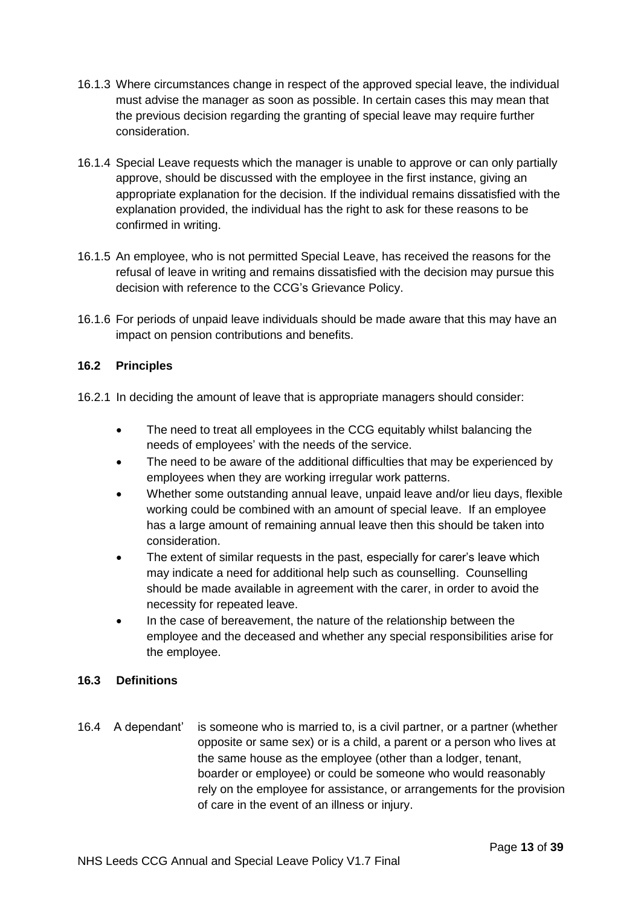- 16.1.3 Where circumstances change in respect of the approved special leave, the individual must advise the manager as soon as possible. In certain cases this may mean that the previous decision regarding the granting of special leave may require further consideration.
- 16.1.4 Special Leave requests which the manager is unable to approve or can only partially approve, should be discussed with the employee in the first instance, giving an appropriate explanation for the decision. If the individual remains dissatisfied with the explanation provided, the individual has the right to ask for these reasons to be confirmed in writing.
- 16.1.5 An employee, who is not permitted Special Leave, has received the reasons for the refusal of leave in writing and remains dissatisfied with the decision may pursue this decision with reference to the CCG's Grievance Policy.
- 16.1.6 For periods of unpaid leave individuals should be made aware that this may have an impact on pension contributions and benefits.

## **16.2 Principles**

- 16.2.1 In deciding the amount of leave that is appropriate managers should consider:
	- The need to treat all employees in the CCG equitably whilst balancing the needs of employees' with the needs of the service.
	- The need to be aware of the additional difficulties that may be experienced by employees when they are working irregular work patterns.
	- Whether some outstanding annual leave, unpaid leave and/or lieu days, flexible working could be combined with an amount of special leave. If an employee has a large amount of remaining annual leave then this should be taken into consideration.
	- The extent of similar requests in the past, especially for carer's leave which may indicate a need for additional help such as counselling. Counselling should be made available in agreement with the carer, in order to avoid the necessity for repeated leave.
	- In the case of bereavement, the nature of the relationship between the employee and the deceased and whether any special responsibilities arise for the employee.

#### **16.3 Definitions**

16.4 A dependant' is someone who is married to, is a civil partner, or a partner (whether opposite or same sex) or is a child, a parent or a person who lives at the same house as the employee (other than a lodger, tenant, boarder or employee) or could be someone who would reasonably rely on the employee for assistance, or arrangements for the provision of care in the event of an illness or injury.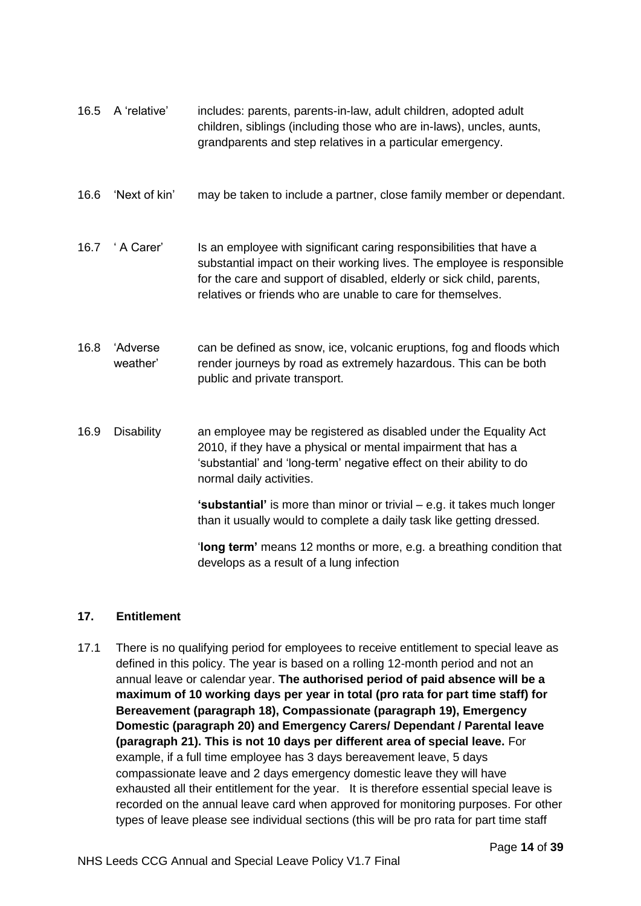| 16.5 | A 'relative'         | includes: parents, parents-in-law, adult children, adopted adult<br>children, siblings (including those who are in-laws), uncles, aunts,<br>grandparents and step relatives in a particular emergency.                                                                                |
|------|----------------------|---------------------------------------------------------------------------------------------------------------------------------------------------------------------------------------------------------------------------------------------------------------------------------------|
| 16.6 | 'Next of kin'        | may be taken to include a partner, close family member or dependant.                                                                                                                                                                                                                  |
| 16.7 | ' A Carer'           | Is an employee with significant caring responsibilities that have a<br>substantial impact on their working lives. The employee is responsible<br>for the care and support of disabled, elderly or sick child, parents,<br>relatives or friends who are unable to care for themselves. |
| 16.8 | 'Adverse<br>weather' | can be defined as snow, ice, volcanic eruptions, fog and floods which<br>render journeys by road as extremely hazardous. This can be both<br>public and private transport.                                                                                                            |
| 16.9 | <b>Disability</b>    | an employee may be registered as disabled under the Equality Act<br>2010, if they have a physical or mental impairment that has a<br>'substantial' and 'long-term' negative effect on their ability to do<br>normal daily activities.                                                 |
|      |                      | 'substantial' is more than minor or trivial – e.g. it takes much longer<br>than it usually would to complete a daily task like getting dressed.                                                                                                                                       |
|      |                      | 'long term' means 12 months or more, e.g. a breathing condition that<br>develops as a result of a lung infection                                                                                                                                                                      |

# **17. Entitlement**

17.1 There is no qualifying period for employees to receive entitlement to special leave as defined in this policy. The year is based on a rolling 12-month period and not an annual leave or calendar year. **The authorised period of paid absence will be a maximum of 10 working days per year in total (pro rata for part time staff) for Bereavement (paragraph 18), Compassionate (paragraph 19), Emergency Domestic (paragraph 20) and Emergency Carers/ Dependant / Parental leave (paragraph 21). This is not 10 days per different area of special leave.** For example, if a full time employee has 3 days bereavement leave, 5 days compassionate leave and 2 days emergency domestic leave they will have exhausted all their entitlement for the year. It is therefore essential special leave is recorded on the annual leave card when approved for monitoring purposes. For other types of leave please see individual sections (this will be pro rata for part time staff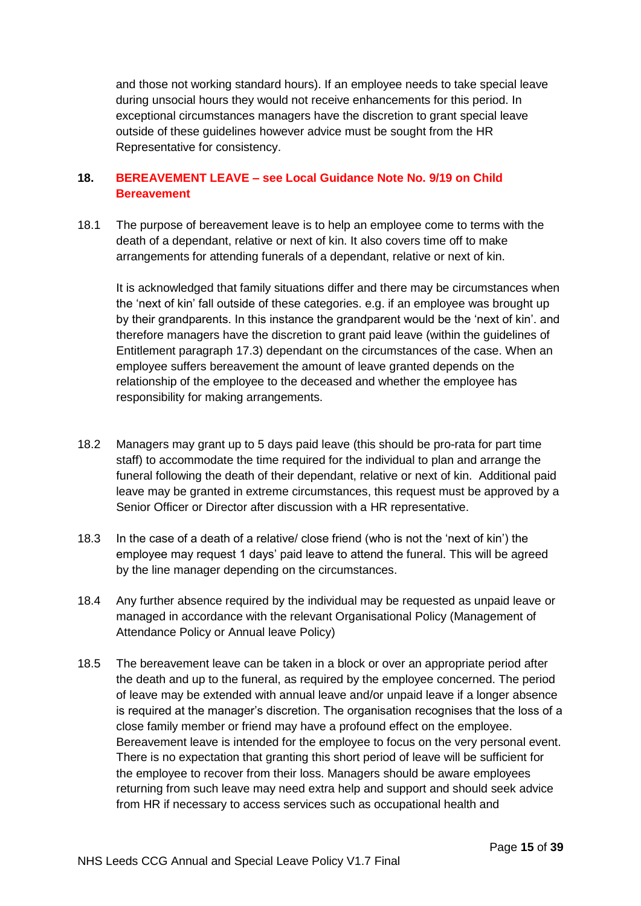and those not working standard hours). If an employee needs to take special leave during unsocial hours they would not receive enhancements for this period. In exceptional circumstances managers have the discretion to grant special leave outside of these guidelines however advice must be sought from the HR Representative for consistency.

#### **18. BEREAVEMENT LEAVE – see Local Guidance Note No. 9/19 on Child Bereavement**

18.1 The purpose of bereavement leave is to help an employee come to terms with the death of a dependant, relative or next of kin. It also covers time off to make arrangements for attending funerals of a dependant, relative or next of kin.

It is acknowledged that family situations differ and there may be circumstances when the 'next of kin' fall outside of these categories. e.g. if an employee was brought up by their grandparents. In this instance the grandparent would be the 'next of kin'. and therefore managers have the discretion to grant paid leave (within the guidelines of Entitlement paragraph 17.3) dependant on the circumstances of the case. When an employee suffers bereavement the amount of leave granted depends on the relationship of the employee to the deceased and whether the employee has responsibility for making arrangements.

- 18.2 Managers may grant up to 5 days paid leave (this should be pro-rata for part time staff) to accommodate the time required for the individual to plan and arrange the funeral following the death of their dependant, relative or next of kin. Additional paid leave may be granted in extreme circumstances, this request must be approved by a Senior Officer or Director after discussion with a HR representative.
- 18.3 In the case of a death of a relative/ close friend (who is not the 'next of kin') the employee may request 1 days' paid leave to attend the funeral. This will be agreed by the line manager depending on the circumstances.
- 18.4 Any further absence required by the individual may be requested as unpaid leave or managed in accordance with the relevant Organisational Policy (Management of Attendance Policy or Annual leave Policy)
- 18.5 The bereavement leave can be taken in a block or over an appropriate period after the death and up to the funeral, as required by the employee concerned. The period of leave may be extended with annual leave and/or unpaid leave if a longer absence is required at the manager's discretion. The organisation recognises that the loss of a close family member or friend may have a profound effect on the employee. Bereavement leave is intended for the employee to focus on the very personal event. There is no expectation that granting this short period of leave will be sufficient for the employee to recover from their loss. Managers should be aware employees returning from such leave may need extra help and support and should seek advice from HR if necessary to access services such as occupational health and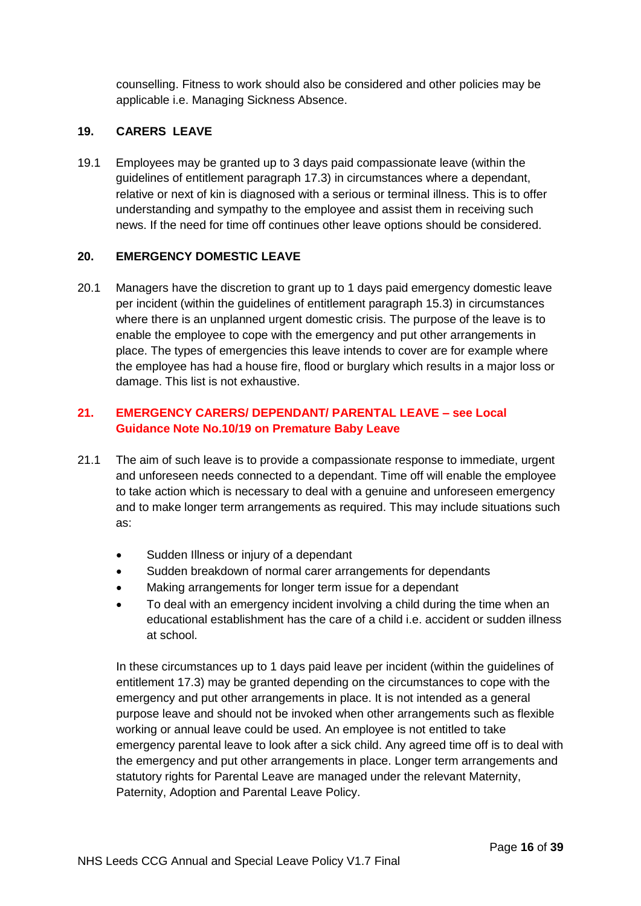counselling. Fitness to work should also be considered and other policies may be applicable i.e. Managing Sickness Absence.

## **19. CARERS LEAVE**

19.1 Employees may be granted up to 3 days paid compassionate leave (within the guidelines of entitlement paragraph 17.3) in circumstances where a dependant, relative or next of kin is diagnosed with a serious or terminal illness. This is to offer understanding and sympathy to the employee and assist them in receiving such news. If the need for time off continues other leave options should be considered.

#### **20. EMERGENCY DOMESTIC LEAVE**

20.1 Managers have the discretion to grant up to 1 days paid emergency domestic leave per incident (within the guidelines of entitlement paragraph 15.3) in circumstances where there is an unplanned urgent domestic crisis. The purpose of the leave is to enable the employee to cope with the emergency and put other arrangements in place. The types of emergencies this leave intends to cover are for example where the employee has had a house fire, flood or burglary which results in a major loss or damage. This list is not exhaustive.

# **21. EMERGENCY CARERS/ DEPENDANT/ PARENTAL LEAVE – see Local Guidance Note No.10/19 on Premature Baby Leave**

- 21.1 The aim of such leave is to provide a compassionate response to immediate, urgent and unforeseen needs connected to a dependant. Time off will enable the employee to take action which is necessary to deal with a genuine and unforeseen emergency and to make longer term arrangements as required. This may include situations such as:
	- Sudden Illness or injury of a dependant
	- Sudden breakdown of normal carer arrangements for dependants
	- Making arrangements for longer term issue for a dependant
	- To deal with an emergency incident involving a child during the time when an educational establishment has the care of a child i.e. accident or sudden illness at school.

In these circumstances up to 1 days paid leave per incident (within the guidelines of entitlement 17.3) may be granted depending on the circumstances to cope with the emergency and put other arrangements in place. It is not intended as a general purpose leave and should not be invoked when other arrangements such as flexible working or annual leave could be used. An employee is not entitled to take emergency parental leave to look after a sick child. Any agreed time off is to deal with the emergency and put other arrangements in place. Longer term arrangements and statutory rights for Parental Leave are managed under the relevant Maternity, Paternity, Adoption and Parental Leave Policy.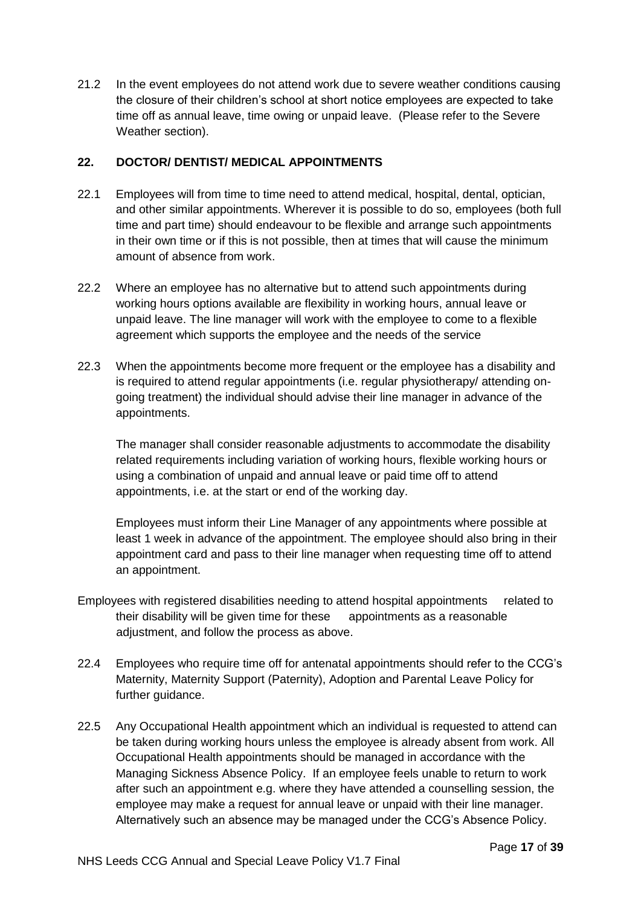21.2 In the event employees do not attend work due to severe weather conditions causing the closure of their children's school at short notice employees are expected to take time off as annual leave, time owing or unpaid leave. (Please refer to the Severe Weather section).

#### **22. DOCTOR/ DENTIST/ MEDICAL APPOINTMENTS**

- 22.1 Employees will from time to time need to attend medical, hospital, dental, optician, and other similar appointments. Wherever it is possible to do so, employees (both full time and part time) should endeavour to be flexible and arrange such appointments in their own time or if this is not possible, then at times that will cause the minimum amount of absence from work.
- 22.2 Where an employee has no alternative but to attend such appointments during working hours options available are flexibility in working hours, annual leave or unpaid leave. The line manager will work with the employee to come to a flexible agreement which supports the employee and the needs of the service
- 22.3 When the appointments become more frequent or the employee has a disability and is required to attend regular appointments (i.e. regular physiotherapy/ attending ongoing treatment) the individual should advise their line manager in advance of the appointments.

The manager shall consider reasonable adjustments to accommodate the disability related requirements including variation of working hours, flexible working hours or using a combination of unpaid and annual leave or paid time off to attend appointments, i.e. at the start or end of the working day.

Employees must inform their Line Manager of any appointments where possible at least 1 week in advance of the appointment. The employee should also bring in their appointment card and pass to their line manager when requesting time off to attend an appointment.

- Employees with registered disabilities needing to attend hospital appointments related to their disability will be given time for these appointments as a reasonable adjustment, and follow the process as above.
- 22.4 Employees who require time off for antenatal appointments should refer to the CCG's Maternity, Maternity Support (Paternity), Adoption and Parental Leave Policy for further guidance.
- 22.5 Any Occupational Health appointment which an individual is requested to attend can be taken during working hours unless the employee is already absent from work. All Occupational Health appointments should be managed in accordance with the Managing Sickness Absence Policy. If an employee feels unable to return to work after such an appointment e.g. where they have attended a counselling session, the employee may make a request for annual leave or unpaid with their line manager. Alternatively such an absence may be managed under the CCG's Absence Policy.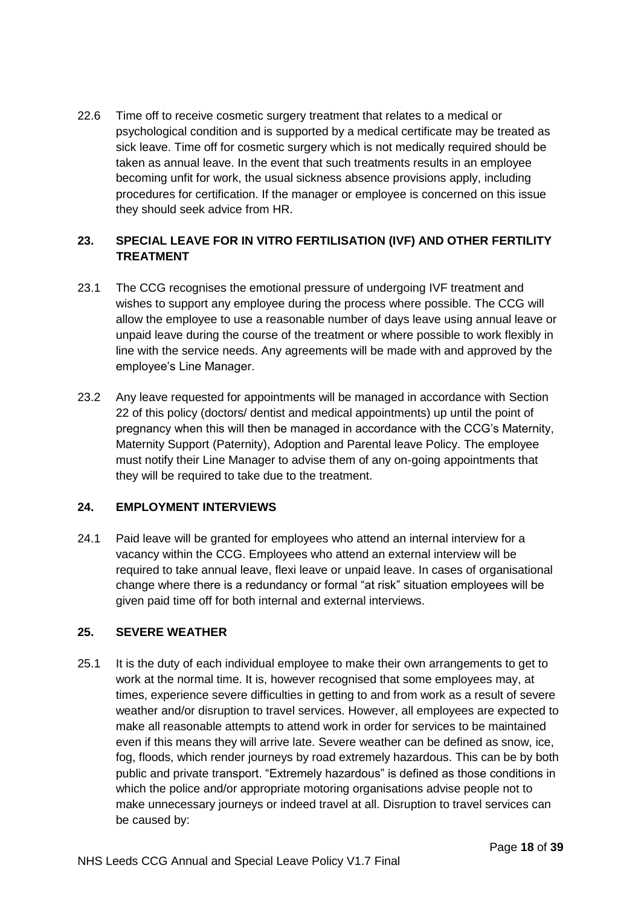22.6 Time off to receive cosmetic surgery treatment that relates to a medical or psychological condition and is supported by a medical certificate may be treated as sick leave. Time off for cosmetic surgery which is not medically required should be taken as annual leave. In the event that such treatments results in an employee becoming unfit for work, the usual sickness absence provisions apply, including procedures for certification. If the manager or employee is concerned on this issue they should seek advice from HR.

# **23. SPECIAL LEAVE FOR IN VITRO FERTILISATION (IVF) AND OTHER FERTILITY TREATMENT**

- 23.1 The CCG recognises the emotional pressure of undergoing IVF treatment and wishes to support any employee during the process where possible. The CCG will allow the employee to use a reasonable number of days leave using annual leave or unpaid leave during the course of the treatment or where possible to work flexibly in line with the service needs. Any agreements will be made with and approved by the employee's Line Manager.
- 23.2 Any leave requested for appointments will be managed in accordance with Section 22 of this policy (doctors/ dentist and medical appointments) up until the point of pregnancy when this will then be managed in accordance with the CCG's Maternity, Maternity Support (Paternity), Adoption and Parental leave Policy. The employee must notify their Line Manager to advise them of any on-going appointments that they will be required to take due to the treatment.

#### **24. EMPLOYMENT INTERVIEWS**

24.1 Paid leave will be granted for employees who attend an internal interview for a vacancy within the CCG. Employees who attend an external interview will be required to take annual leave, flexi leave or unpaid leave. In cases of organisational change where there is a redundancy or formal "at risk" situation employees will be given paid time off for both internal and external interviews.

#### **25. SEVERE WEATHER**

25.1 It is the duty of each individual employee to make their own arrangements to get to work at the normal time. It is, however recognised that some employees may, at times, experience severe difficulties in getting to and from work as a result of severe weather and/or disruption to travel services. However, all employees are expected to make all reasonable attempts to attend work in order for services to be maintained even if this means they will arrive late. Severe weather can be defined as snow, ice, fog, floods, which render journeys by road extremely hazardous. This can be by both public and private transport. "Extremely hazardous" is defined as those conditions in which the police and/or appropriate motoring organisations advise people not to make unnecessary journeys or indeed travel at all. Disruption to travel services can be caused by: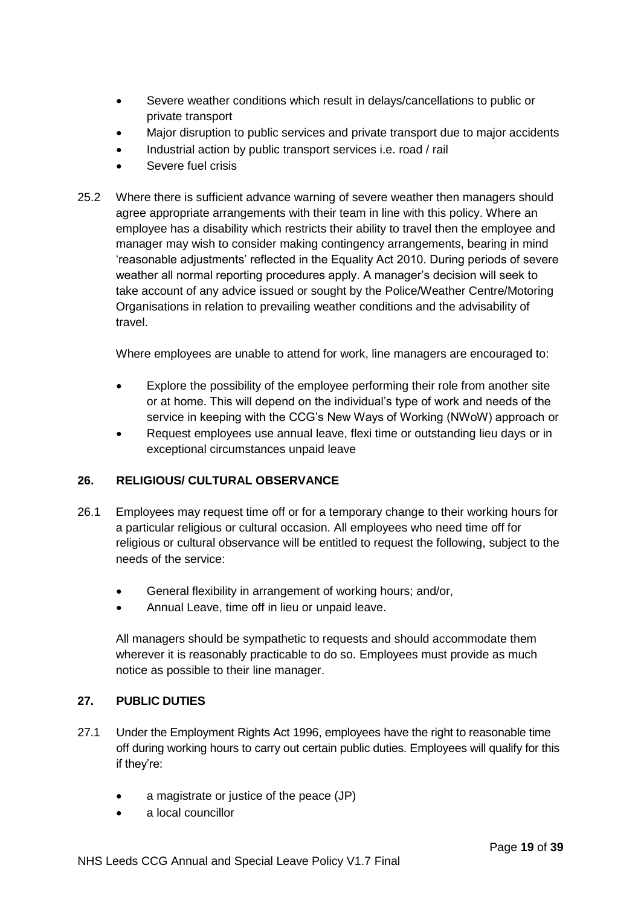- Severe weather conditions which result in delays/cancellations to public or private transport
- Major disruption to public services and private transport due to major accidents
- Industrial action by public transport services i.e. road / rail
- Severe fuel crisis
- 25.2 Where there is sufficient advance warning of severe weather then managers should agree appropriate arrangements with their team in line with this policy. Where an employee has a disability which restricts their ability to travel then the employee and manager may wish to consider making contingency arrangements, bearing in mind 'reasonable adjustments' reflected in the Equality Act 2010. During periods of severe weather all normal reporting procedures apply. A manager's decision will seek to take account of any advice issued or sought by the Police/Weather Centre/Motoring Organisations in relation to prevailing weather conditions and the advisability of travel.

Where employees are unable to attend for work, line managers are encouraged to:

- Explore the possibility of the employee performing their role from another site or at home. This will depend on the individual's type of work and needs of the service in keeping with the CCG's New Ways of Working (NWoW) approach or
- Request employees use annual leave, flexi time or outstanding lieu days or in exceptional circumstances unpaid leave

# **26. RELIGIOUS/ CULTURAL OBSERVANCE**

- 26.1 Employees may request time off or for a temporary change to their working hours for a particular religious or cultural occasion. All employees who need time off for religious or cultural observance will be entitled to request the following, subject to the needs of the service:
	- General flexibility in arrangement of working hours; and/or,
	- Annual Leave, time off in lieu or unpaid leave.

All managers should be sympathetic to requests and should accommodate them wherever it is reasonably practicable to do so. Employees must provide as much notice as possible to their line manager.

# **27. PUBLIC DUTIES**

- 27.1 Under the Employment Rights Act 1996, employees have the right to reasonable time off during working hours to carry out certain public duties. Employees will qualify for this if they're:
	- a magistrate or justice of the peace (JP)
	- a local councillor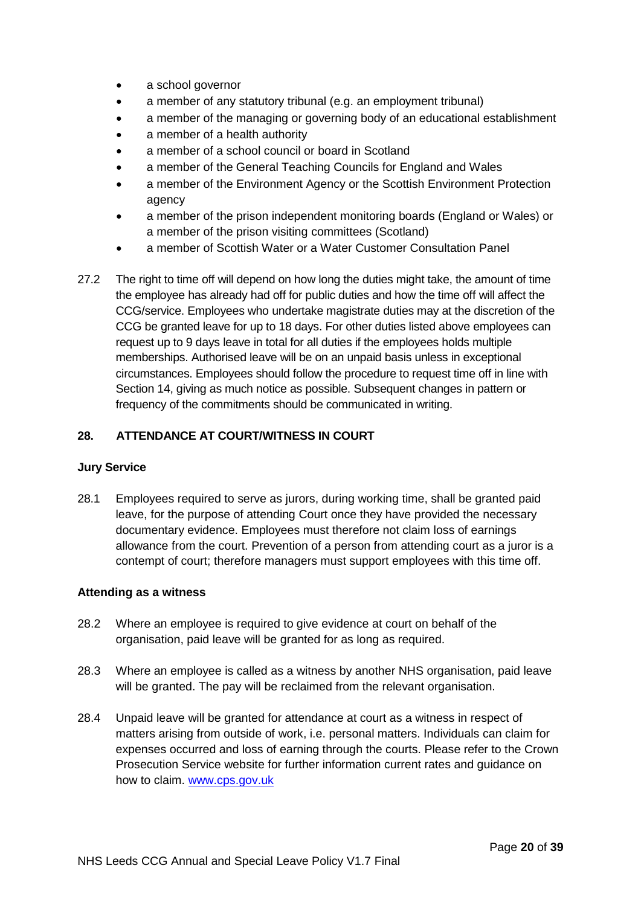- a school governor
- a member of any statutory tribunal (e.g. an employment tribunal)
- a member of the managing or governing body of an educational establishment
- a member of a health authority
- a member of a school council or board in Scotland
- a member of the General Teaching Councils for England and Wales
- a member of the Environment Agency or the Scottish Environment Protection agency
- a member of the prison independent monitoring boards (England or Wales) or a member of the prison visiting committees (Scotland)
- a member of Scottish Water or a Water Customer Consultation Panel
- 27.2 The right to time off will depend on how long the duties might take, the amount of time the employee has already had off for public duties and how the time off will affect the CCG/service. Employees who undertake magistrate duties may at the discretion of the CCG be granted leave for up to 18 days. For other duties listed above employees can request up to 9 days leave in total for all duties if the employees holds multiple memberships. Authorised leave will be on an unpaid basis unless in exceptional circumstances. Employees should follow the procedure to request time off in line with Section 14, giving as much notice as possible. Subsequent changes in pattern or frequency of the commitments should be communicated in writing.

# **28. ATTENDANCE AT COURT/WITNESS IN COURT**

#### **Jury Service**

28.1 Employees required to serve as jurors, during working time, shall be granted paid leave, for the purpose of attending Court once they have provided the necessary documentary evidence. Employees must therefore not claim loss of earnings allowance from the court. Prevention of a person from attending court as a juror is a contempt of court; therefore managers must support employees with this time off.

#### **Attending as a witness**

- 28.2 Where an employee is required to give evidence at court on behalf of the organisation, paid leave will be granted for as long as required.
- 28.3 Where an employee is called as a witness by another NHS organisation, paid leave will be granted. The pay will be reclaimed from the relevant organisation.
- 28.4 Unpaid leave will be granted for attendance at court as a witness in respect of matters arising from outside of work, i.e. personal matters. Individuals can claim for expenses occurred and loss of earning through the courts. Please refer to the Crown Prosecution Service website for further information current rates and guidance on how to claim. [www.cps.gov.uk](http://www.cps.gov.uk/)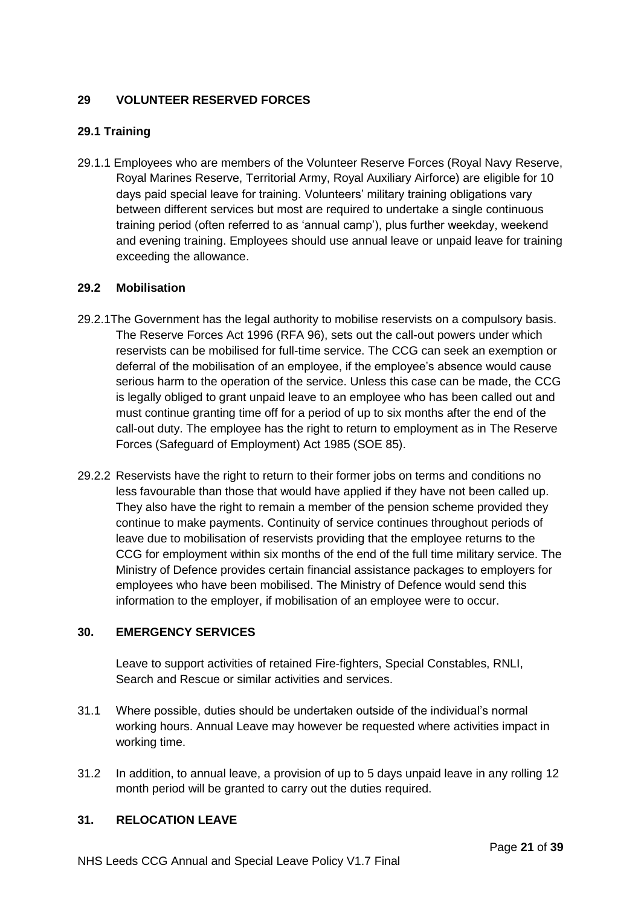# **29 VOLUNTEER RESERVED FORCES**

# **29.1 Training**

29.1.1 Employees who are members of the Volunteer Reserve Forces (Royal Navy Reserve, Royal Marines Reserve, Territorial Army, Royal Auxiliary Airforce) are eligible for 10 days paid special leave for training. Volunteers' military training obligations vary between different services but most are required to undertake a single continuous training period (often referred to as 'annual camp'), plus further weekday, weekend and evening training. Employees should use annual leave or unpaid leave for training exceeding the allowance.

#### **29.2 Mobilisation**

- 29.2.1The Government has the legal authority to mobilise reservists on a compulsory basis. The Reserve Forces Act 1996 (RFA 96), sets out the call-out powers under which reservists can be mobilised for full-time service. The CCG can seek an exemption or deferral of the mobilisation of an employee, if the employee's absence would cause serious harm to the operation of the service. Unless this case can be made, the CCG is legally obliged to grant unpaid leave to an employee who has been called out and must continue granting time off for a period of up to six months after the end of the call-out duty. The employee has the right to return to employment as in The Reserve Forces (Safeguard of Employment) Act 1985 (SOE 85).
- 29.2.2 Reservists have the right to return to their former jobs on terms and conditions no less favourable than those that would have applied if they have not been called up. They also have the right to remain a member of the pension scheme provided they continue to make payments. Continuity of service continues throughout periods of leave due to mobilisation of reservists providing that the employee returns to the CCG for employment within six months of the end of the full time military service. The Ministry of Defence provides certain financial assistance packages to employers for employees who have been mobilised. The Ministry of Defence would send this information to the employer, if mobilisation of an employee were to occur.

#### **30. EMERGENCY SERVICES**

Leave to support activities of retained Fire-fighters, Special Constables, RNLI, Search and Rescue or similar activities and services.

- 31.1 Where possible, duties should be undertaken outside of the individual's normal working hours. Annual Leave may however be requested where activities impact in working time.
- 31.2 In addition, to annual leave, a provision of up to 5 days unpaid leave in any rolling 12 month period will be granted to carry out the duties required.

#### **31. RELOCATION LEAVE**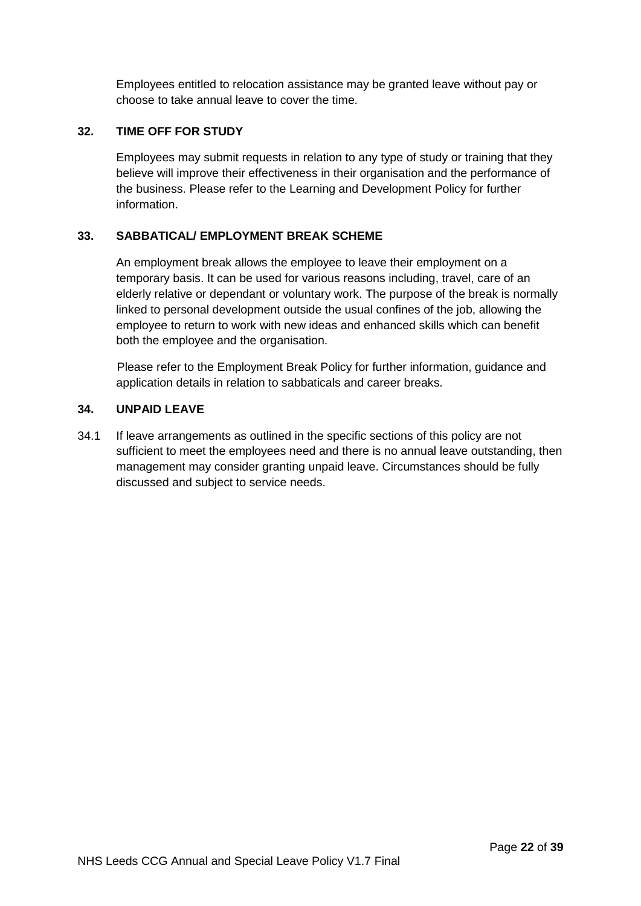Employees entitled to relocation assistance may be granted leave without pay or choose to take annual leave to cover the time.

#### **32. TIME OFF FOR STUDY**

Employees may submit requests in relation to any type of study or training that they believe will improve their effectiveness in their organisation and the performance of the business. Please refer to the Learning and Development Policy for further information.

## **33. SABBATICAL/ EMPLOYMENT BREAK SCHEME**

An employment break allows the employee to leave their employment on a temporary basis. It can be used for various reasons including, travel, care of an elderly relative or dependant or voluntary work. The purpose of the break is normally linked to personal development outside the usual confines of the job, allowing the employee to return to work with new ideas and enhanced skills which can benefit both the employee and the organisation.

Please refer to the Employment Break Policy for further information, guidance and application details in relation to sabbaticals and career breaks.

#### **34. UNPAID LEAVE**

34.1 If leave arrangements as outlined in the specific sections of this policy are not sufficient to meet the employees need and there is no annual leave outstanding, then management may consider granting unpaid leave. Circumstances should be fully discussed and subject to service needs.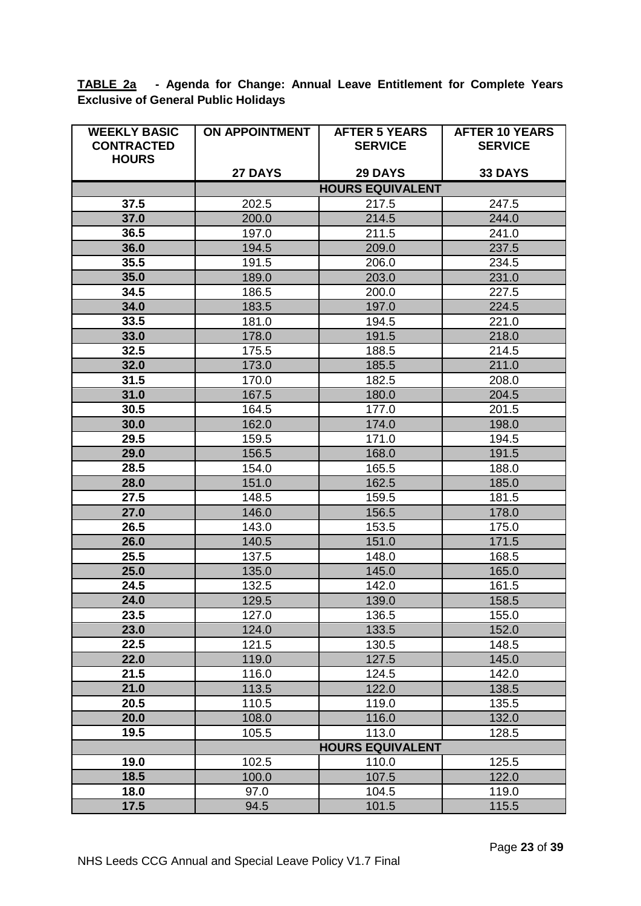**TABLE 2a - Agenda for Change: Annual Leave Entitlement for Complete Years Exclusive of General Public Holidays**

| <b>WEEKLY BASIC</b> | <b>ON APPOINTMENT</b>                                                  | <b>AFTER 5 YEARS</b>    | <b>AFTER 10 YEARS</b> |
|---------------------|------------------------------------------------------------------------|-------------------------|-----------------------|
| <b>CONTRACTED</b>   |                                                                        | <b>SERVICE</b>          | <b>SERVICE</b>        |
| <b>HOURS</b>        |                                                                        |                         |                       |
|                     | 27 DAYS<br><b>29 DAYS</b><br><b>33 DAYS</b><br><b>HOURS EQUIVALENT</b> |                         |                       |
| 37.5                | 202.5                                                                  | 217.5                   | 247.5                 |
| 37.0                | 200.0                                                                  | 214.5                   | 244.0                 |
| 36.5                | 197.0                                                                  | 211.5                   | 241.0                 |
| 36.0                | 194.5                                                                  | 209.0                   | 237.5                 |
| 35.5                | 191.5                                                                  | 206.0                   | 234.5                 |
| 35.0                | 189.0                                                                  | 203.0                   | 231.0                 |
| 34.5                | 186.5                                                                  | 200.0                   | 227.5                 |
| 34.0                | 183.5                                                                  | 197.0                   | 224.5                 |
| 33.5                | 181.0                                                                  | 194.5                   | 221.0                 |
| 33.0                | 178.0                                                                  | 191.5                   | 218.0                 |
| 32.5                | 175.5                                                                  | 188.5                   | 214.5                 |
| 32.0                | 173.0                                                                  | 185.5                   | 211.0                 |
| 31.5                | 170.0                                                                  | 182.5                   | 208.0                 |
| 31.0                | 167.5                                                                  | 180.0                   | 204.5                 |
| 30.5                | 164.5                                                                  | 177.0                   | 201.5                 |
| 30.0                | 162.0                                                                  | 174.0                   | 198.0                 |
| 29.5                | 159.5                                                                  | 171.0                   | 194.5                 |
| 29.0                | 156.5                                                                  | 168.0                   | 191.5                 |
| 28.5                | 154.0                                                                  | 165.5                   | 188.0                 |
| 28.0                | 151.0                                                                  | 162.5                   | 185.0                 |
| 27.5                | 148.5                                                                  | 159.5                   | 181.5                 |
| 27.0                | 146.0                                                                  | 156.5                   | 178.0                 |
| 26.5                | 143.0                                                                  | 153.5                   | 175.0                 |
| 26.0                | 140.5                                                                  | 151.0                   | 171.5                 |
| 25.5                | 137.5                                                                  | 148.0                   | 168.5                 |
| 25.0                | 135.0                                                                  | 145.0                   | 165.0                 |
| 24.5                | 132.5                                                                  | 142.0                   | 161.5                 |
| 24.0                | 129.5                                                                  | 139.0                   | 158.5                 |
| 23.5                | 127.0                                                                  | 136.5                   | 155.0                 |
| 23.0<br>22.5        | 124.0                                                                  | 133.5                   | 152.0                 |
| 22.0                | 121.5<br>119.0                                                         | 130.5<br>127.5          | 148.5<br>145.0        |
| 21.5                | 116.0                                                                  | 124.5                   | 142.0                 |
| 21.0                | 113.5                                                                  | 122.0                   | 138.5                 |
| 20.5                | 110.5                                                                  | 119.0                   | 135.5                 |
| 20.0                | 108.0                                                                  | 116.0                   | 132.0                 |
| 19.5                | 105.5                                                                  | 113.0                   | 128.5                 |
|                     |                                                                        | <b>HOURS EQUIVALENT</b> |                       |
| 19.0                | 102.5                                                                  | 110.0                   | 125.5                 |
| 18.5                | 100.0                                                                  | 107.5                   | 122.0                 |
| 18.0                | 97.0                                                                   | 104.5                   | 119.0                 |
| 17.5                | 94.5                                                                   | 101.5                   | 115.5                 |
|                     |                                                                        |                         |                       |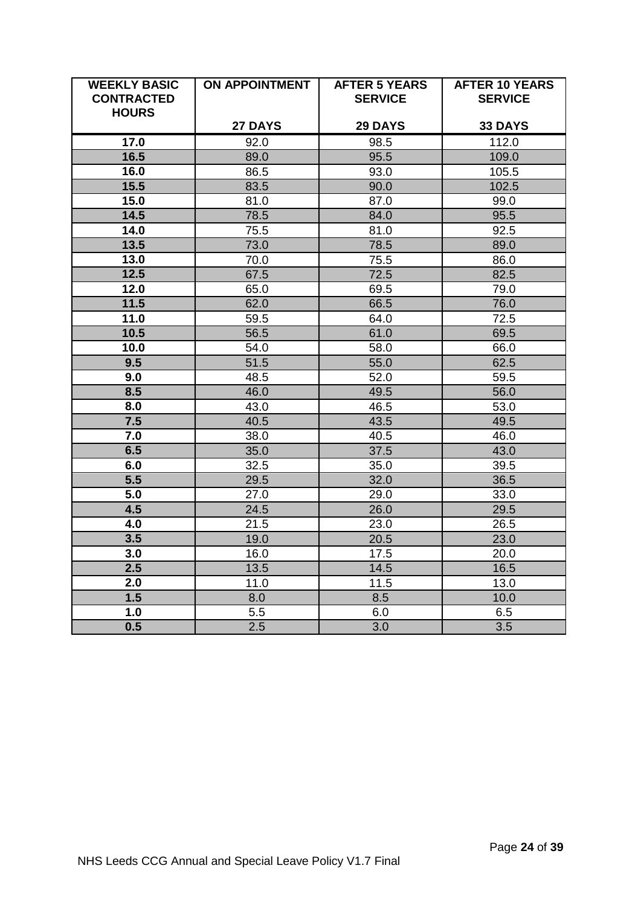| <b>WEEKLY BASIC</b><br><b>CONTRACTED</b><br><b>HOURS</b> | <b>ON APPOINTMENT</b> | <b>AFTER 5 YEARS</b><br><b>SERVICE</b> | <b>AFTER 10 YEARS</b><br><b>SERVICE</b> |
|----------------------------------------------------------|-----------------------|----------------------------------------|-----------------------------------------|
|                                                          | 27 DAYS               | <b>29 DAYS</b>                         | 33 DAYS                                 |
| 17.0                                                     | 92.0                  | 98.5                                   | 112.0                                   |
| 16.5                                                     | 89.0                  | 95.5                                   | 109.0                                   |
| 16.0                                                     | 86.5                  | 93.0                                   | 105.5                                   |
| 15.5                                                     | 83.5                  | 90.0                                   | 102.5                                   |
| 15.0                                                     | 81.0                  | 87.0                                   | 99.0                                    |
| 14.5                                                     | 78.5                  | 84.0                                   | 95.5                                    |
| 14.0                                                     | 75.5                  | 81.0                                   | 92.5                                    |
| 13.5                                                     | 73.0                  | 78.5                                   | 89.0                                    |
| 13.0                                                     | 70.0                  | 75.5                                   | 86.0                                    |
| 12.5                                                     | 67.5                  | 72.5                                   | 82.5                                    |
| 12.0                                                     | 65.0                  | 69.5                                   | 79.0                                    |
| 11.5                                                     | 62.0                  | 66.5                                   | 76.0                                    |
| 11.0                                                     | 59.5                  | 64.0                                   | 72.5                                    |
| 10.5                                                     | 56.5                  | 61.0                                   | 69.5                                    |
| 10.0                                                     | 54.0                  | 58.0                                   | 66.0                                    |
| 9.5                                                      | 51.5                  | 55.0                                   | 62.5                                    |
| 9.0                                                      | 48.5                  | 52.0                                   | 59.5                                    |
| 8.5                                                      | 46.0                  | 49.5                                   | 56.0                                    |
| 8.0                                                      | 43.0                  | 46.5                                   | 53.0                                    |
| 7.5                                                      | 40.5                  | 43.5                                   | 49.5                                    |
| 7.0                                                      | 38.0                  | 40.5                                   | 46.0                                    |
| 6.5                                                      | 35.0                  | 37.5                                   | 43.0                                    |
| 6.0                                                      | 32.5                  | 35.0                                   | 39.5                                    |
| $\overline{5.5}$                                         | 29.5                  | 32.0                                   | 36.5                                    |
| $\overline{5.0}$                                         | 27.0                  | 29.0                                   | 33.0                                    |
| 4.5                                                      | 24.5                  | 26.0                                   | 29.5                                    |
| 4.0                                                      | 21.5                  | 23.0                                   | 26.5                                    |
| 3.5                                                      | 19.0                  | 20.5                                   | 23.0                                    |
| 3.0                                                      | 16.0                  | 17.5                                   | 20.0                                    |
| 2.5                                                      | 13.5                  | 14.5                                   | 16.5                                    |
| 2.0                                                      | 11.0                  | 11.5                                   | 13.0                                    |
| 1.5                                                      | 8.0                   | 8.5                                    | 10.0                                    |
| 1.0                                                      | 5.5                   | 6.0                                    | 6.5                                     |
| 0.5                                                      | 2.5                   | 3.0                                    | $\overline{3.5}$                        |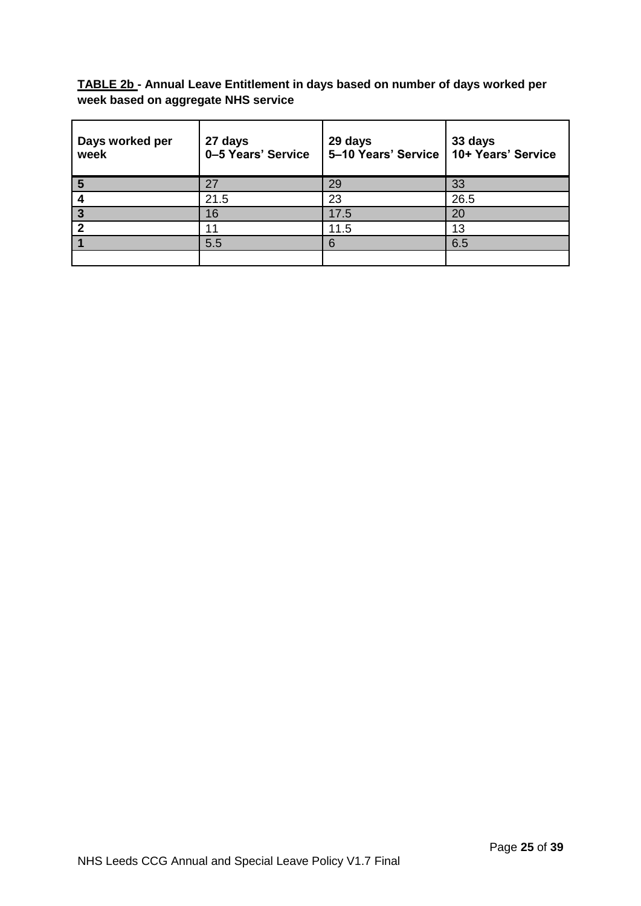**TABLE 2b - Annual Leave Entitlement in days based on number of days worked per week based on aggregate NHS service**

| Days worked per<br>week | 27 days<br>0-5 Years' Service | 29 days<br>5-10 Years' Service | 33 days<br>10+ Years' Service |
|-------------------------|-------------------------------|--------------------------------|-------------------------------|
| 5                       | 27                            | 29                             | 33                            |
|                         | 21.5                          | 23                             | 26.5                          |
| 3                       | 16                            | 17.5                           | 20                            |
|                         | 11                            | 11.5                           | 13                            |
|                         | 5.5                           |                                | 6.5                           |
|                         |                               |                                |                               |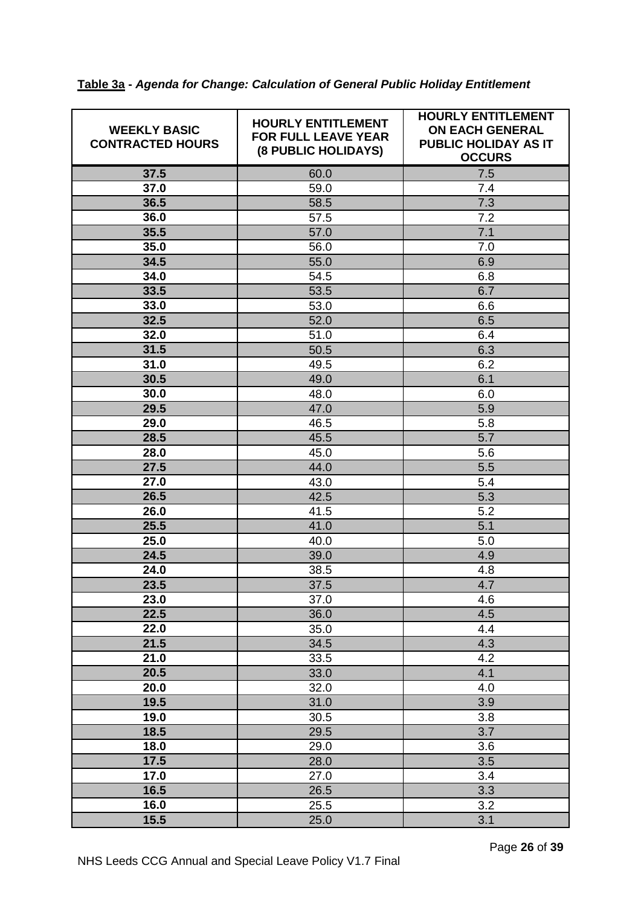| 37.5<br>60.0<br>7.5<br>37.0<br>59.0<br>7.4<br>36.5<br>7.3<br>58.5<br>36.0<br>7.2<br>57.5<br>35.5<br>57.0<br>7.1<br>35.0<br>56.0<br>7.0<br>34.5<br>55.0<br>6.9<br>6.8<br>34.0<br>54.5<br>6.7<br>53.5<br>33.5<br>6.6<br>33.0<br>53.0<br>52.0<br>6.5<br>32.5<br>32.0<br>51.0<br>6.4<br>31.5<br>6.3<br>50.5<br>6.2<br>31.0<br>49.5<br>30.5<br>49.0<br>6.1<br>30.0<br>48.0<br>6.0<br>29.5<br>5.9<br>47.0<br>29.0<br>46.5<br>5.8<br>5.7<br>28.5<br>45.5<br>28.0<br>45.0<br>5.6<br>27.5<br>5.5<br>44.0<br>27.0<br>43.0<br>5.4<br>26.5<br>42.5<br>5.3<br>26.0<br>5.2<br>41.5<br>25.5<br>5.1<br>41.0<br>25.0<br>40.0<br>5.0<br>24.5<br>39.0<br>4.9<br>24.0<br>38.5<br>4.8<br>4.7<br>23.5<br>37.5<br>23.0<br>37.0<br>4.6<br>22.5<br>36.0<br>4.5<br>22.0<br>35.0<br>4.4<br>21.5<br>34.5<br>4.3<br>4.2<br>21.0<br>33.5<br>20.5<br>4.1<br>33.0<br>20.0<br>32.0<br>4.0<br>19.5<br>31.0<br>3.9<br>19.0<br>3.8<br>30.5<br>3.7<br>18.5<br>29.5<br>18.0<br>3.6<br>29.0<br>17.5<br>28.0<br>3.5<br>17.0<br>27.0<br>3.4<br>16.5<br>3.3<br>26.5<br>16.0<br>25.5<br>3.2 | <b>WEEKLY BASIC</b><br><b>CONTRACTED HOURS</b> | <b>HOURLY ENTITLEMENT</b><br><b>FOR FULL LEAVE YEAR</b><br>(8 PUBLIC HOLIDAYS) | <b>HOURLY ENTITLEMENT</b><br><b>ON EACH GENERAL</b><br>PUBLIC HOLIDAY AS IT<br><b>OCCURS</b> |
|--------------------------------------------------------------------------------------------------------------------------------------------------------------------------------------------------------------------------------------------------------------------------------------------------------------------------------------------------------------------------------------------------------------------------------------------------------------------------------------------------------------------------------------------------------------------------------------------------------------------------------------------------------------------------------------------------------------------------------------------------------------------------------------------------------------------------------------------------------------------------------------------------------------------------------------------------------------------------------------------------------------------------------------------------|------------------------------------------------|--------------------------------------------------------------------------------|----------------------------------------------------------------------------------------------|
|                                                                                                                                                                                                                                                                                                                                                                                                                                                                                                                                                                                                                                                                                                                                                                                                                                                                                                                                                                                                                                                  |                                                |                                                                                |                                                                                              |
|                                                                                                                                                                                                                                                                                                                                                                                                                                                                                                                                                                                                                                                                                                                                                                                                                                                                                                                                                                                                                                                  |                                                |                                                                                |                                                                                              |
|                                                                                                                                                                                                                                                                                                                                                                                                                                                                                                                                                                                                                                                                                                                                                                                                                                                                                                                                                                                                                                                  |                                                |                                                                                |                                                                                              |
|                                                                                                                                                                                                                                                                                                                                                                                                                                                                                                                                                                                                                                                                                                                                                                                                                                                                                                                                                                                                                                                  |                                                |                                                                                |                                                                                              |
|                                                                                                                                                                                                                                                                                                                                                                                                                                                                                                                                                                                                                                                                                                                                                                                                                                                                                                                                                                                                                                                  |                                                |                                                                                |                                                                                              |
|                                                                                                                                                                                                                                                                                                                                                                                                                                                                                                                                                                                                                                                                                                                                                                                                                                                                                                                                                                                                                                                  |                                                |                                                                                |                                                                                              |
|                                                                                                                                                                                                                                                                                                                                                                                                                                                                                                                                                                                                                                                                                                                                                                                                                                                                                                                                                                                                                                                  |                                                |                                                                                |                                                                                              |
|                                                                                                                                                                                                                                                                                                                                                                                                                                                                                                                                                                                                                                                                                                                                                                                                                                                                                                                                                                                                                                                  |                                                |                                                                                |                                                                                              |
|                                                                                                                                                                                                                                                                                                                                                                                                                                                                                                                                                                                                                                                                                                                                                                                                                                                                                                                                                                                                                                                  |                                                |                                                                                |                                                                                              |
|                                                                                                                                                                                                                                                                                                                                                                                                                                                                                                                                                                                                                                                                                                                                                                                                                                                                                                                                                                                                                                                  |                                                |                                                                                |                                                                                              |
|                                                                                                                                                                                                                                                                                                                                                                                                                                                                                                                                                                                                                                                                                                                                                                                                                                                                                                                                                                                                                                                  |                                                |                                                                                |                                                                                              |
|                                                                                                                                                                                                                                                                                                                                                                                                                                                                                                                                                                                                                                                                                                                                                                                                                                                                                                                                                                                                                                                  |                                                |                                                                                |                                                                                              |
|                                                                                                                                                                                                                                                                                                                                                                                                                                                                                                                                                                                                                                                                                                                                                                                                                                                                                                                                                                                                                                                  |                                                |                                                                                |                                                                                              |
|                                                                                                                                                                                                                                                                                                                                                                                                                                                                                                                                                                                                                                                                                                                                                                                                                                                                                                                                                                                                                                                  |                                                |                                                                                |                                                                                              |
|                                                                                                                                                                                                                                                                                                                                                                                                                                                                                                                                                                                                                                                                                                                                                                                                                                                                                                                                                                                                                                                  |                                                |                                                                                |                                                                                              |
|                                                                                                                                                                                                                                                                                                                                                                                                                                                                                                                                                                                                                                                                                                                                                                                                                                                                                                                                                                                                                                                  |                                                |                                                                                |                                                                                              |
|                                                                                                                                                                                                                                                                                                                                                                                                                                                                                                                                                                                                                                                                                                                                                                                                                                                                                                                                                                                                                                                  |                                                |                                                                                |                                                                                              |
|                                                                                                                                                                                                                                                                                                                                                                                                                                                                                                                                                                                                                                                                                                                                                                                                                                                                                                                                                                                                                                                  |                                                |                                                                                |                                                                                              |
|                                                                                                                                                                                                                                                                                                                                                                                                                                                                                                                                                                                                                                                                                                                                                                                                                                                                                                                                                                                                                                                  |                                                |                                                                                |                                                                                              |
|                                                                                                                                                                                                                                                                                                                                                                                                                                                                                                                                                                                                                                                                                                                                                                                                                                                                                                                                                                                                                                                  |                                                |                                                                                |                                                                                              |
|                                                                                                                                                                                                                                                                                                                                                                                                                                                                                                                                                                                                                                                                                                                                                                                                                                                                                                                                                                                                                                                  |                                                |                                                                                |                                                                                              |
|                                                                                                                                                                                                                                                                                                                                                                                                                                                                                                                                                                                                                                                                                                                                                                                                                                                                                                                                                                                                                                                  |                                                |                                                                                |                                                                                              |
|                                                                                                                                                                                                                                                                                                                                                                                                                                                                                                                                                                                                                                                                                                                                                                                                                                                                                                                                                                                                                                                  |                                                |                                                                                |                                                                                              |
|                                                                                                                                                                                                                                                                                                                                                                                                                                                                                                                                                                                                                                                                                                                                                                                                                                                                                                                                                                                                                                                  |                                                |                                                                                |                                                                                              |
|                                                                                                                                                                                                                                                                                                                                                                                                                                                                                                                                                                                                                                                                                                                                                                                                                                                                                                                                                                                                                                                  |                                                |                                                                                |                                                                                              |
|                                                                                                                                                                                                                                                                                                                                                                                                                                                                                                                                                                                                                                                                                                                                                                                                                                                                                                                                                                                                                                                  |                                                |                                                                                |                                                                                              |
|                                                                                                                                                                                                                                                                                                                                                                                                                                                                                                                                                                                                                                                                                                                                                                                                                                                                                                                                                                                                                                                  |                                                |                                                                                |                                                                                              |
|                                                                                                                                                                                                                                                                                                                                                                                                                                                                                                                                                                                                                                                                                                                                                                                                                                                                                                                                                                                                                                                  |                                                |                                                                                |                                                                                              |
|                                                                                                                                                                                                                                                                                                                                                                                                                                                                                                                                                                                                                                                                                                                                                                                                                                                                                                                                                                                                                                                  |                                                |                                                                                |                                                                                              |
|                                                                                                                                                                                                                                                                                                                                                                                                                                                                                                                                                                                                                                                                                                                                                                                                                                                                                                                                                                                                                                                  |                                                |                                                                                |                                                                                              |
|                                                                                                                                                                                                                                                                                                                                                                                                                                                                                                                                                                                                                                                                                                                                                                                                                                                                                                                                                                                                                                                  |                                                |                                                                                |                                                                                              |
|                                                                                                                                                                                                                                                                                                                                                                                                                                                                                                                                                                                                                                                                                                                                                                                                                                                                                                                                                                                                                                                  |                                                |                                                                                |                                                                                              |
|                                                                                                                                                                                                                                                                                                                                                                                                                                                                                                                                                                                                                                                                                                                                                                                                                                                                                                                                                                                                                                                  |                                                |                                                                                |                                                                                              |
|                                                                                                                                                                                                                                                                                                                                                                                                                                                                                                                                                                                                                                                                                                                                                                                                                                                                                                                                                                                                                                                  |                                                |                                                                                |                                                                                              |
|                                                                                                                                                                                                                                                                                                                                                                                                                                                                                                                                                                                                                                                                                                                                                                                                                                                                                                                                                                                                                                                  |                                                |                                                                                |                                                                                              |
|                                                                                                                                                                                                                                                                                                                                                                                                                                                                                                                                                                                                                                                                                                                                                                                                                                                                                                                                                                                                                                                  |                                                |                                                                                |                                                                                              |
|                                                                                                                                                                                                                                                                                                                                                                                                                                                                                                                                                                                                                                                                                                                                                                                                                                                                                                                                                                                                                                                  |                                                |                                                                                |                                                                                              |
|                                                                                                                                                                                                                                                                                                                                                                                                                                                                                                                                                                                                                                                                                                                                                                                                                                                                                                                                                                                                                                                  |                                                |                                                                                |                                                                                              |
|                                                                                                                                                                                                                                                                                                                                                                                                                                                                                                                                                                                                                                                                                                                                                                                                                                                                                                                                                                                                                                                  |                                                |                                                                                |                                                                                              |
|                                                                                                                                                                                                                                                                                                                                                                                                                                                                                                                                                                                                                                                                                                                                                                                                                                                                                                                                                                                                                                                  |                                                |                                                                                |                                                                                              |
|                                                                                                                                                                                                                                                                                                                                                                                                                                                                                                                                                                                                                                                                                                                                                                                                                                                                                                                                                                                                                                                  |                                                |                                                                                |                                                                                              |
|                                                                                                                                                                                                                                                                                                                                                                                                                                                                                                                                                                                                                                                                                                                                                                                                                                                                                                                                                                                                                                                  |                                                |                                                                                |                                                                                              |
|                                                                                                                                                                                                                                                                                                                                                                                                                                                                                                                                                                                                                                                                                                                                                                                                                                                                                                                                                                                                                                                  |                                                |                                                                                |                                                                                              |
|                                                                                                                                                                                                                                                                                                                                                                                                                                                                                                                                                                                                                                                                                                                                                                                                                                                                                                                                                                                                                                                  | 15.5                                           | 25.0                                                                           | 3.1                                                                                          |

**Table 3a -** *Agenda for Change: Calculation of General Public Holiday Entitlement*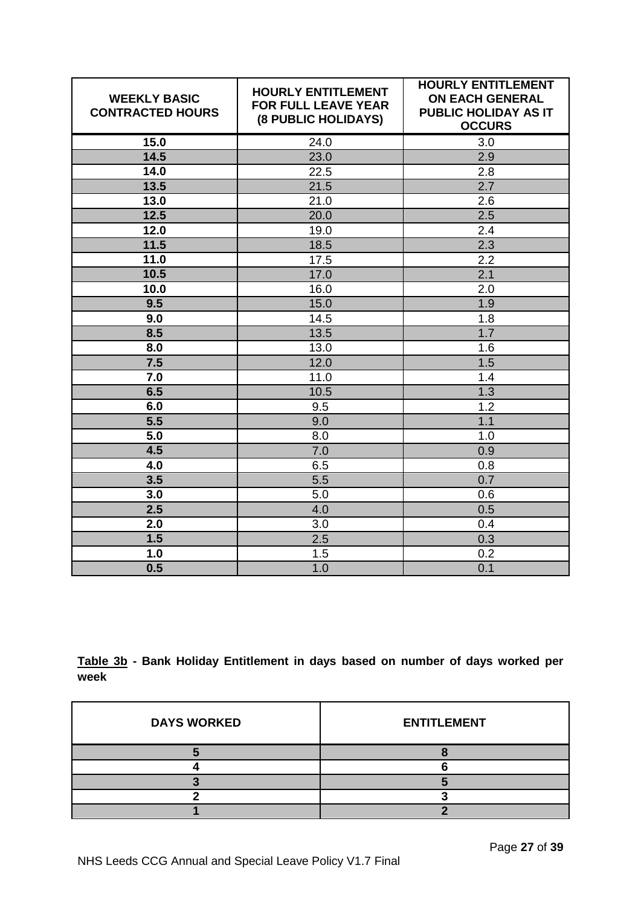| <b>WEEKLY BASIC</b><br><b>CONTRACTED HOURS</b> | <b>HOURLY ENTITLEMENT</b><br><b>FOR FULL LEAVE YEAR</b><br>(8 PUBLIC HOLIDAYS) | <b>HOURLY ENTITLEMENT</b><br><b>ON EACH GENERAL</b><br>PUBLIC HOLIDAY AS IT<br><b>OCCURS</b> |
|------------------------------------------------|--------------------------------------------------------------------------------|----------------------------------------------------------------------------------------------|
| 15.0                                           | 24.0                                                                           | 3.0                                                                                          |
| 14.5                                           | 23.0                                                                           | 2.9                                                                                          |
| 14.0                                           | 22.5                                                                           | 2.8                                                                                          |
| 13.5                                           | 21.5                                                                           | 2.7                                                                                          |
| 13.0                                           | 21.0                                                                           | 2.6                                                                                          |
| 12.5                                           | 20.0                                                                           | 2.5                                                                                          |
| 12.0                                           | 19.0                                                                           | 2.4                                                                                          |
| 11.5                                           | 18.5                                                                           | 2.3                                                                                          |
| 11.0                                           | 17.5                                                                           | 2.2                                                                                          |
| 10.5                                           | 17.0                                                                           | 2.1                                                                                          |
| 10.0                                           | 16.0                                                                           | 2.0                                                                                          |
| 9.5                                            | 15.0                                                                           | 1.9                                                                                          |
| 9.0                                            | 14.5                                                                           | 1.8                                                                                          |
| 8.5                                            | 13.5                                                                           | 1.7                                                                                          |
| 8.0                                            | 13.0                                                                           | 1.6                                                                                          |
| 7.5                                            | 12.0                                                                           | 1.5                                                                                          |
| 7.0                                            | 11.0                                                                           | 1.4                                                                                          |
| 6.5                                            | 10.5                                                                           | 1.3                                                                                          |
| 6.0                                            | 9.5                                                                            | 1.2                                                                                          |
| $\overline{5.5}$                               | 9.0                                                                            | 1.1                                                                                          |
| 5.0                                            | 8.0                                                                            | 1.0                                                                                          |
| 4.5                                            | 7.0                                                                            | 0.9                                                                                          |
| 4.0                                            | 6.5                                                                            | 0.8                                                                                          |
| 3.5                                            | 5.5                                                                            | 0.7                                                                                          |
| 3.0                                            | 5.0                                                                            | 0.6                                                                                          |
| 2.5                                            | 4.0                                                                            | 0.5                                                                                          |
| 2.0                                            | 3.0                                                                            | 0.4                                                                                          |
| 1.5                                            | 2.5                                                                            | 0.3                                                                                          |
| 1.0                                            | 1.5                                                                            | 0.2                                                                                          |
| 0.5                                            | 1.0                                                                            | 0.1                                                                                          |

**Table 3b - Bank Holiday Entitlement in days based on number of days worked per week**

| <b>DAYS WORKED</b> | <b>ENTITLEMENT</b> |
|--------------------|--------------------|
|                    |                    |
|                    |                    |
|                    |                    |
|                    |                    |
|                    |                    |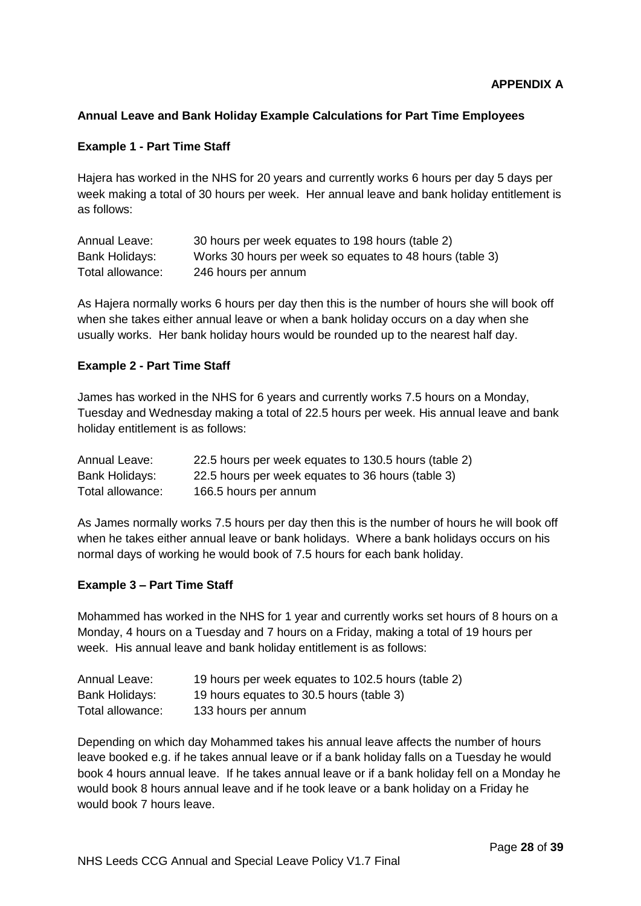## **Annual Leave and Bank Holiday Example Calculations for Part Time Employees**

#### **Example 1 - Part Time Staff**

Hajera has worked in the NHS for 20 years and currently works 6 hours per day 5 days per week making a total of 30 hours per week. Her annual leave and bank holiday entitlement is as follows:

| Annual Leave:    | 30 hours per week equates to 198 hours (table 2)         |
|------------------|----------------------------------------------------------|
| Bank Holidays:   | Works 30 hours per week so equates to 48 hours (table 3) |
| Total allowance: | 246 hours per annum                                      |

As Hajera normally works 6 hours per day then this is the number of hours she will book off when she takes either annual leave or when a bank holiday occurs on a day when she usually works. Her bank holiday hours would be rounded up to the nearest half day.

## **Example 2 - Part Time Staff**

James has worked in the NHS for 6 years and currently works 7.5 hours on a Monday, Tuesday and Wednesday making a total of 22.5 hours per week. His annual leave and bank holiday entitlement is as follows:

| Annual Leave:    | 22.5 hours per week equates to 130.5 hours (table 2) |
|------------------|------------------------------------------------------|
| Bank Holidays:   | 22.5 hours per week equates to 36 hours (table 3)    |
| Total allowance: | 166.5 hours per annum                                |

As James normally works 7.5 hours per day then this is the number of hours he will book off when he takes either annual leave or bank holidays. Where a bank holidays occurs on his normal days of working he would book of 7.5 hours for each bank holiday.

#### **Example 3 – Part Time Staff**

Mohammed has worked in the NHS for 1 year and currently works set hours of 8 hours on a Monday, 4 hours on a Tuesday and 7 hours on a Friday, making a total of 19 hours per week. His annual leave and bank holiday entitlement is as follows:

| Annual Leave:    | 19 hours per week equates to 102.5 hours (table 2) |
|------------------|----------------------------------------------------|
| Bank Holidays:   | 19 hours equates to 30.5 hours (table 3)           |
| Total allowance: | 133 hours per annum                                |

Depending on which day Mohammed takes his annual leave affects the number of hours leave booked e.g. if he takes annual leave or if a bank holiday falls on a Tuesday he would book 4 hours annual leave. If he takes annual leave or if a bank holiday fell on a Monday he would book 8 hours annual leave and if he took leave or a bank holiday on a Friday he would book 7 hours leave.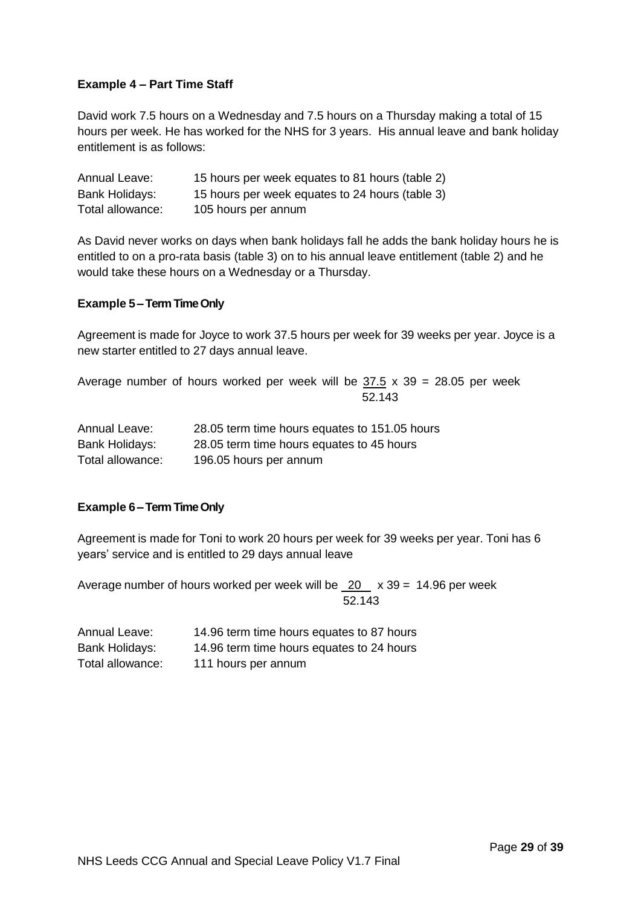## **Example 4 – Part Time Staff**

David work 7.5 hours on a Wednesday and 7.5 hours on a Thursday making a total of 15 hours per week. He has worked for the NHS for 3 years. His annual leave and bank holiday entitlement is as follows:

| Annual Leave:    | 15 hours per week equates to 81 hours (table 2) |
|------------------|-------------------------------------------------|
| Bank Holidays:   | 15 hours per week equates to 24 hours (table 3) |
| Total allowance: | 105 hours per annum                             |

As David never works on days when bank holidays fall he adds the bank holiday hours he is entitled to on a pro-rata basis (table 3) on to his annual leave entitlement (table 2) and he would take these hours on a Wednesday or a Thursday.

#### **Example 5 –Term Time Only**

Agreement is made for Joyce to work 37.5 hours per week for 39 weeks per year. Joyce is a new starter entitled to 27 days annual leave.

Average number of hours worked per week will be  $37.5 \times 39 = 28.05$  per week 52.143

| Annual Leave:    | 28.05 term time hours equates to 151.05 hours |
|------------------|-----------------------------------------------|
| Bank Holidays:   | 28.05 term time hours equates to 45 hours     |
| Total allowance: | 196.05 hours per annum                        |

#### **Example 6 –Term Time Only**

Agreement is made for Toni to work 20 hours per week for 39 weeks per year. Toni has 6 years' service and is entitled to 29 days annual leave

Average number of hours worked per week will be  $\overline{20}$  x 39 = 14.96 per week 52.143

| Annual Leave:    | 14.96 term time hours equates to 87 hours |
|------------------|-------------------------------------------|
| Bank Holidays:   | 14.96 term time hours equates to 24 hours |
| Total allowance: | 111 hours per annum                       |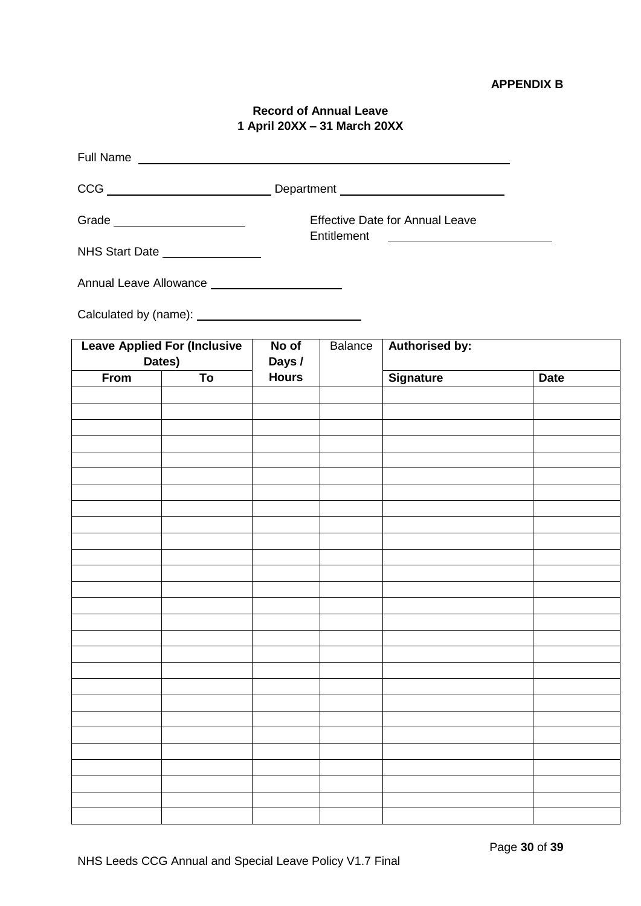# **Record of Annual Leave 1 April 20XX – 31 March 20XX**

| Full Name Lawrence and Service Contractor and Service Contractor Contractor Contractor |                                               |                                        |                |                                                                                 |             |
|----------------------------------------------------------------------------------------|-----------------------------------------------|----------------------------------------|----------------|---------------------------------------------------------------------------------|-------------|
|                                                                                        |                                               |                                        |                |                                                                                 |             |
|                                                                                        | Grade _________________________               | <b>Effective Date for Annual Leave</b> |                |                                                                                 |             |
|                                                                                        | NHS Start Date _______________                |                                        | Entitlement    | the contract of the contract of the contract of the contract of the contract of |             |
|                                                                                        | Annual Leave Allowance ______________________ |                                        |                |                                                                                 |             |
|                                                                                        |                                               |                                        |                |                                                                                 |             |
|                                                                                        | <b>Leave Applied For (Inclusive</b><br>Dates) | No of<br>Days /                        | <b>Balance</b> | <b>Authorised by:</b>                                                           |             |
| From                                                                                   | To                                            | <b>Hours</b>                           |                | <b>Signature</b>                                                                | <b>Date</b> |
|                                                                                        |                                               |                                        |                |                                                                                 |             |
|                                                                                        |                                               |                                        |                |                                                                                 |             |
|                                                                                        |                                               |                                        |                |                                                                                 |             |
|                                                                                        |                                               |                                        |                |                                                                                 |             |
|                                                                                        |                                               |                                        |                |                                                                                 |             |
|                                                                                        |                                               |                                        |                |                                                                                 |             |
|                                                                                        |                                               |                                        |                |                                                                                 |             |
|                                                                                        |                                               |                                        |                |                                                                                 |             |
|                                                                                        |                                               |                                        |                |                                                                                 |             |
|                                                                                        |                                               |                                        |                |                                                                                 |             |
|                                                                                        |                                               |                                        |                |                                                                                 |             |
|                                                                                        |                                               |                                        |                |                                                                                 |             |
|                                                                                        |                                               |                                        |                |                                                                                 |             |
|                                                                                        |                                               |                                        |                |                                                                                 |             |
|                                                                                        |                                               |                                        |                |                                                                                 |             |
|                                                                                        |                                               |                                        |                |                                                                                 |             |
|                                                                                        |                                               |                                        |                |                                                                                 |             |
|                                                                                        |                                               |                                        |                |                                                                                 |             |
|                                                                                        |                                               |                                        |                |                                                                                 |             |
|                                                                                        |                                               |                                        |                |                                                                                 |             |
|                                                                                        |                                               |                                        |                |                                                                                 |             |
|                                                                                        |                                               |                                        |                |                                                                                 |             |
|                                                                                        |                                               |                                        |                |                                                                                 |             |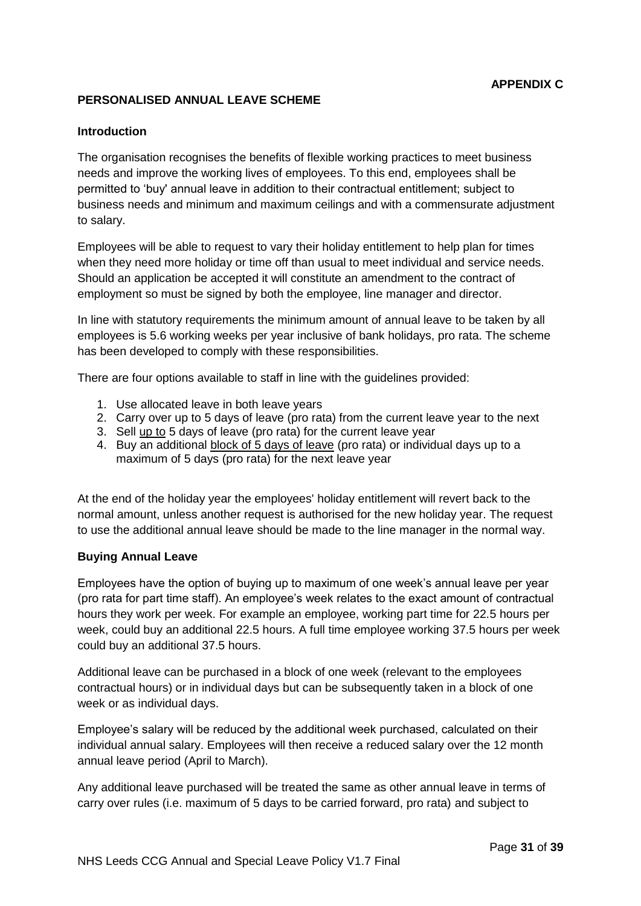# **PERSONALISED ANNUAL LEAVE SCHEME**

#### **Introduction**

The organisation recognises the benefits of flexible working practices to meet business needs and improve the working lives of employees. To this end, employees shall be permitted to 'buy' annual leave in addition to their contractual entitlement; subject to business needs and minimum and maximum ceilings and with a commensurate adjustment to salary.

Employees will be able to request to vary their holiday entitlement to help plan for times when they need more holiday or time off than usual to meet individual and service needs. Should an application be accepted it will constitute an amendment to the contract of employment so must be signed by both the employee, line manager and director.

In line with statutory requirements the minimum amount of annual leave to be taken by all employees is 5.6 working weeks per year inclusive of bank holidays, pro rata. The scheme has been developed to comply with these responsibilities.

There are four options available to staff in line with the guidelines provided:

- 1. Use allocated leave in both leave years
- 2. Carry over up to 5 days of leave (pro rata) from the current leave year to the next
- 3. Sell up to 5 days of leave (pro rata) for the current leave year
- 4. Buy an additional block of 5 days of leave (pro rata) or individual days up to a maximum of 5 days (pro rata) for the next leave year

At the end of the holiday year the employees' holiday entitlement will revert back to the normal amount, unless another request is authorised for the new holiday year. The request to use the additional annual leave should be made to the line manager in the normal way.

#### **Buying Annual Leave**

Employees have the option of buying up to maximum of one week's annual leave per year (pro rata for part time staff). An employee's week relates to the exact amount of contractual hours they work per week. For example an employee, working part time for 22.5 hours per week, could buy an additional 22.5 hours. A full time employee working 37.5 hours per week could buy an additional 37.5 hours.

Additional leave can be purchased in a block of one week (relevant to the employees contractual hours) or in individual days but can be subsequently taken in a block of one week or as individual days.

Employee's salary will be reduced by the additional week purchased, calculated on their individual annual salary. Employees will then receive a reduced salary over the 12 month annual leave period (April to March).

Any additional leave purchased will be treated the same as other annual leave in terms of carry over rules (i.e. maximum of 5 days to be carried forward, pro rata) and subject to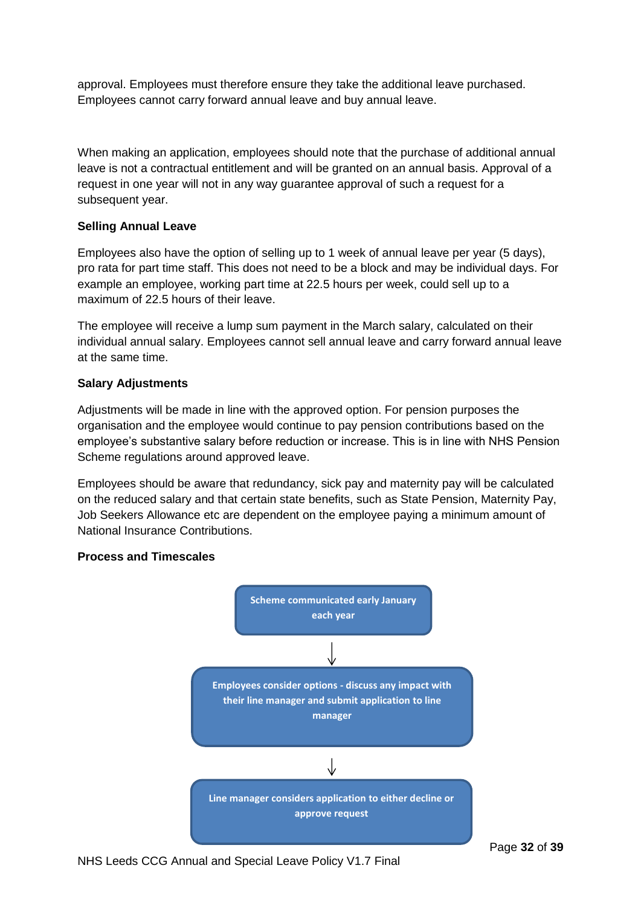approval. Employees must therefore ensure they take the additional leave purchased. Employees cannot carry forward annual leave and buy annual leave.

When making an application, employees should note that the purchase of additional annual leave is not a contractual entitlement and will be granted on an annual basis. Approval of a request in one year will not in any way guarantee approval of such a request for a subsequent year.

#### **Selling Annual Leave**

Employees also have the option of selling up to 1 week of annual leave per year (5 days), pro rata for part time staff. This does not need to be a block and may be individual days. For example an employee, working part time at 22.5 hours per week, could sell up to a maximum of 22.5 hours of their leave.

The employee will receive a lump sum payment in the March salary, calculated on their individual annual salary. Employees cannot sell annual leave and carry forward annual leave at the same time.

#### **Salary Adjustments**

Adjustments will be made in line with the approved option. For pension purposes the organisation and the employee would continue to pay pension contributions based on the employee's substantive salary before reduction or increase. This is in line with NHS Pension Scheme regulations around approved leave.

Employees should be aware that redundancy, sick pay and maternity pay will be calculated on the reduced salary and that certain state benefits, such as State Pension, Maternity Pay, Job Seekers Allowance etc are dependent on the employee paying a minimum amount of National Insurance Contributions.

#### **Process and Timescales**

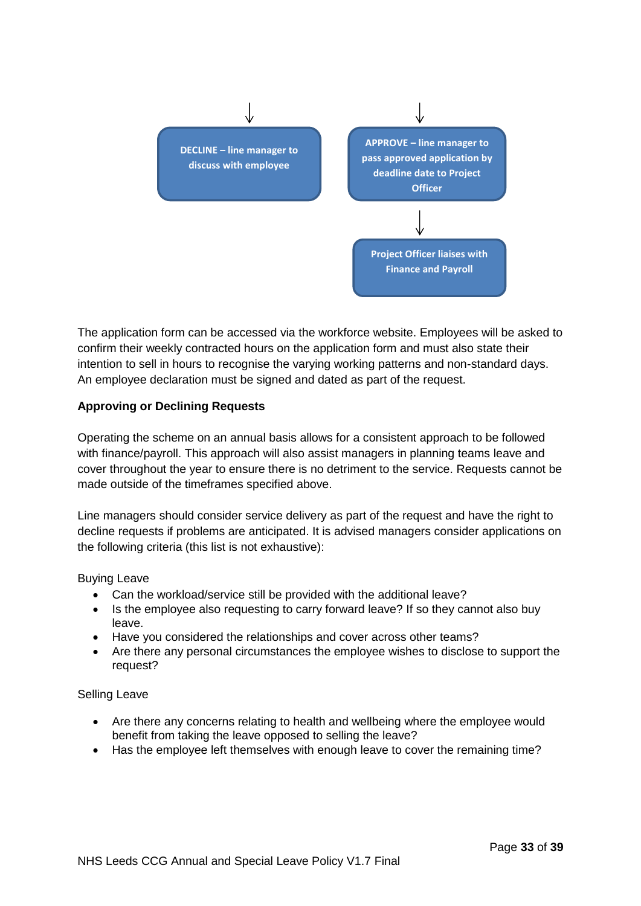

The application form can be accessed via the workforce website. Employees will be asked to confirm their weekly contracted hours on the application form and must also state their intention to sell in hours to recognise the varying working patterns and non-standard days. An employee declaration must be signed and dated as part of the request.

## **Approving or Declining Requests**

Operating the scheme on an annual basis allows for a consistent approach to be followed with finance/payroll. This approach will also assist managers in planning teams leave and cover throughout the year to ensure there is no detriment to the service. Requests cannot be made outside of the timeframes specified above.

Line managers should consider service delivery as part of the request and have the right to decline requests if problems are anticipated. It is advised managers consider applications on the following criteria (this list is not exhaustive):

#### Buying Leave

- Can the workload/service still be provided with the additional leave?
- Is the employee also requesting to carry forward leave? If so they cannot also buy leave.
- Have you considered the relationships and cover across other teams?
- Are there any personal circumstances the employee wishes to disclose to support the request?

#### Selling Leave

- Are there any concerns relating to health and wellbeing where the employee would benefit from taking the leave opposed to selling the leave?
- Has the employee left themselves with enough leave to cover the remaining time?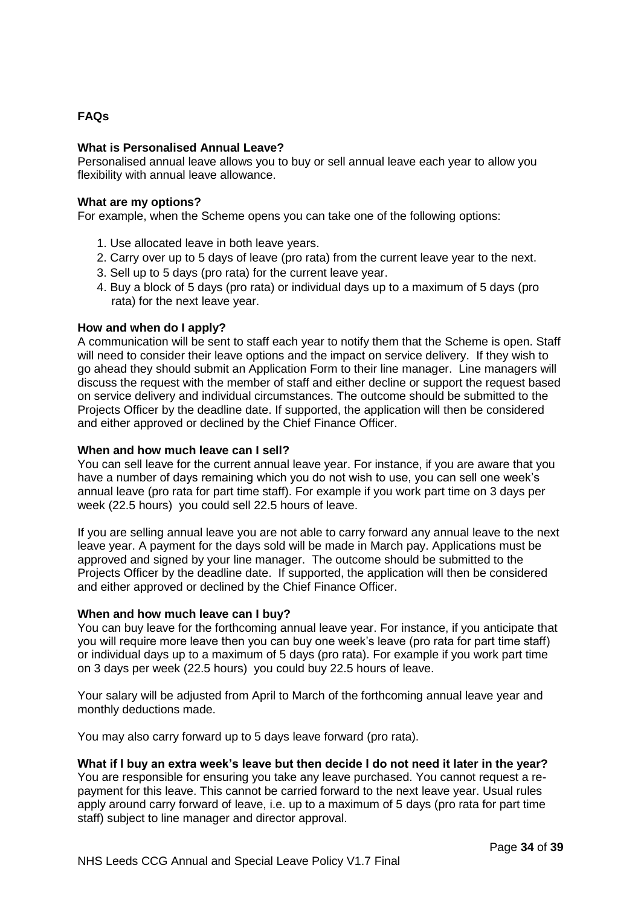# **FAQs**

#### **What is Personalised Annual Leave?**

Personalised annual leave allows you to buy or sell annual leave each year to allow you flexibility with annual leave allowance.

#### **What are my options?**

For example, when the Scheme opens you can take one of the following options:

- 1. Use allocated leave in both leave years.
- 2. Carry over up to 5 days of leave (pro rata) from the current leave year to the next.
- 3. Sell up to 5 days (pro rata) for the current leave year.
- 4. Buy a block of 5 days (pro rata) or individual days up to a maximum of 5 days (pro rata) for the next leave year.

#### **How and when do I apply?**

A communication will be sent to staff each year to notify them that the Scheme is open. Staff will need to consider their leave options and the impact on service delivery. If they wish to go ahead they should submit an Application Form to their line manager. Line managers will discuss the request with the member of staff and either decline or support the request based on service delivery and individual circumstances. The outcome should be submitted to the Projects Officer by the deadline date. If supported, the application will then be considered and either approved or declined by the Chief Finance Officer.

#### **When and how much leave can I sell?**

You can sell leave for the current annual leave year. For instance, if you are aware that you have a number of days remaining which you do not wish to use, you can sell one week's annual leave (pro rata for part time staff). For example if you work part time on 3 days per week (22.5 hours) you could sell 22.5 hours of leave.

If you are selling annual leave you are not able to carry forward any annual leave to the next leave year. A payment for the days sold will be made in March pay. Applications must be approved and signed by your line manager. The outcome should be submitted to the Projects Officer by the deadline date. If supported, the application will then be considered and either approved or declined by the Chief Finance Officer.

#### **When and how much leave can I buy?**

You can buy leave for the forthcoming annual leave year. For instance, if you anticipate that you will require more leave then you can buy one week's leave (pro rata for part time staff) or individual days up to a maximum of 5 days (pro rata). For example if you work part time on 3 days per week (22.5 hours) you could buy 22.5 hours of leave.

Your salary will be adjusted from April to March of the forthcoming annual leave year and monthly deductions made.

You may also carry forward up to 5 days leave forward (pro rata).

#### **What if I buy an extra week's leave but then decide I do not need it later in the year?**

You are responsible for ensuring you take any leave purchased. You cannot request a repayment for this leave. This cannot be carried forward to the next leave year. Usual rules apply around carry forward of leave, i.e. up to a maximum of 5 days (pro rata for part time staff) subject to line manager and director approval.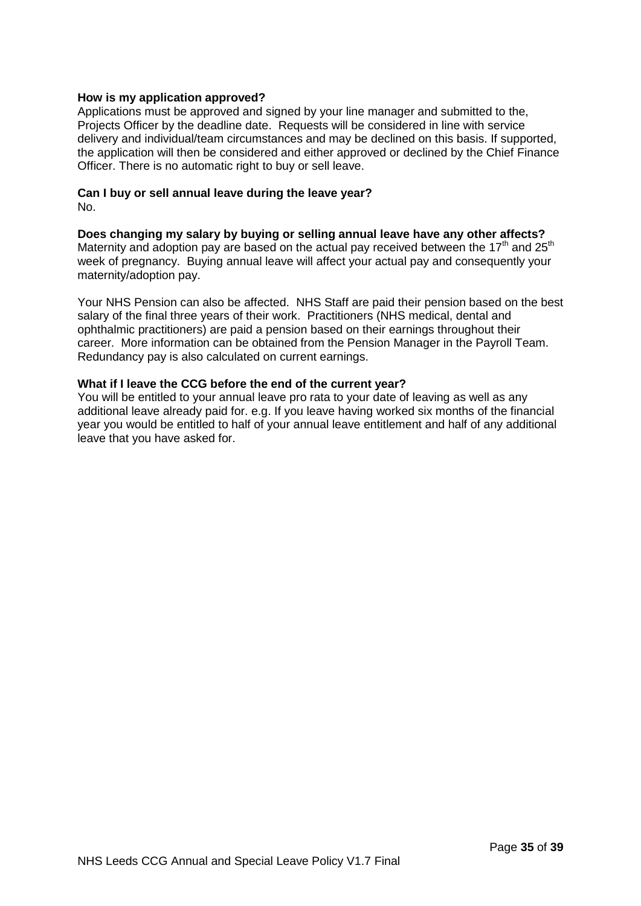#### **How is my application approved?**

Applications must be approved and signed by your line manager and submitted to the, Projects Officer by the deadline date. Requests will be considered in line with service delivery and individual/team circumstances and may be declined on this basis. If supported, the application will then be considered and either approved or declined by the Chief Finance Officer. There is no automatic right to buy or sell leave.

#### **Can I buy or sell annual leave during the leave year?** No.

**Does changing my salary by buying or selling annual leave have any other affects?** Maternity and adoption pay are based on the actual pay received between the 17<sup>th</sup> and 25<sup>th</sup> week of pregnancy. Buying annual leave will affect your actual pay and consequently your maternity/adoption pay.

Your NHS Pension can also be affected. NHS Staff are paid their pension based on the best salary of the final three years of their work. Practitioners (NHS medical, dental and ophthalmic practitioners) are paid a pension based on their earnings throughout their career. More information can be obtained from the Pension Manager in the Payroll Team. Redundancy pay is also calculated on current earnings.

#### **What if I leave the CCG before the end of the current year?**

You will be entitled to your annual leave pro rata to your date of leaving as well as any additional leave already paid for. e.g. If you leave having worked six months of the financial year you would be entitled to half of your annual leave entitlement and half of any additional leave that you have asked for.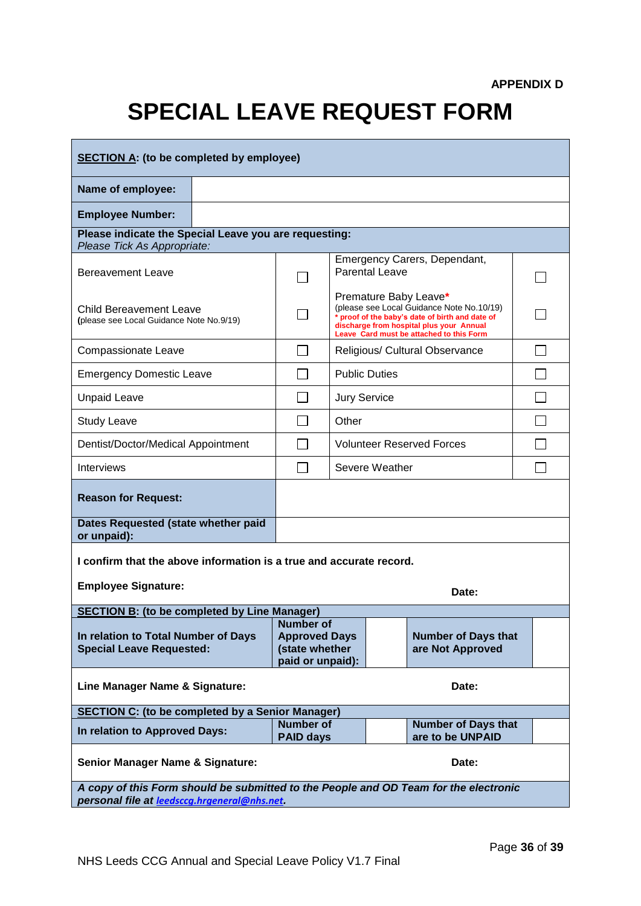# **SPECIAL LEAVE REQUEST FORM**

| <b>SECTION A: (to be completed by employee)</b>                                                                                      |                                                                                        |                     |                                                                                                                                                                                                               |  |  |
|--------------------------------------------------------------------------------------------------------------------------------------|----------------------------------------------------------------------------------------|---------------------|---------------------------------------------------------------------------------------------------------------------------------------------------------------------------------------------------------------|--|--|
| Name of employee:                                                                                                                    |                                                                                        |                     |                                                                                                                                                                                                               |  |  |
| <b>Employee Number:</b>                                                                                                              |                                                                                        |                     |                                                                                                                                                                                                               |  |  |
| Please indicate the Special Leave you are requesting:<br>Please Tick As Appropriate:                                                 |                                                                                        |                     |                                                                                                                                                                                                               |  |  |
| <b>Bereavement Leave</b>                                                                                                             |                                                                                        |                     | Emergency Carers, Dependant,<br><b>Parental Leave</b>                                                                                                                                                         |  |  |
| <b>Child Bereavement Leave</b><br>(please see Local Guidance Note No.9/19)                                                           |                                                                                        |                     | Premature Baby Leave*<br>(please see Local Guidance Note No.10/19)<br>* proof of the baby's date of birth and date of<br>discharge from hospital plus your Annual<br>Leave Card must be attached to this Form |  |  |
| Compassionate Leave                                                                                                                  |                                                                                        |                     | Religious/ Cultural Observance                                                                                                                                                                                |  |  |
| <b>Emergency Domestic Leave</b>                                                                                                      |                                                                                        |                     | <b>Public Duties</b>                                                                                                                                                                                          |  |  |
| <b>Unpaid Leave</b>                                                                                                                  |                                                                                        | <b>Jury Service</b> |                                                                                                                                                                                                               |  |  |
| <b>Study Leave</b>                                                                                                                   |                                                                                        | Other               |                                                                                                                                                                                                               |  |  |
| <b>Volunteer Reserved Forces</b><br>Dentist/Doctor/Medical Appointment                                                               |                                                                                        |                     |                                                                                                                                                                                                               |  |  |
| <b>Interviews</b>                                                                                                                    |                                                                                        |                     | Severe Weather                                                                                                                                                                                                |  |  |
| <b>Reason for Request:</b>                                                                                                           |                                                                                        |                     |                                                                                                                                                                                                               |  |  |
| Dates Requested (state whether paid<br>or unpaid):                                                                                   |                                                                                        |                     |                                                                                                                                                                                                               |  |  |
| I confirm that the above information is a true and accurate record.                                                                  |                                                                                        |                     |                                                                                                                                                                                                               |  |  |
| <b>Employee Signature:</b>                                                                                                           |                                                                                        |                     | Date:                                                                                                                                                                                                         |  |  |
| <b>SECTION B: (to be completed by Line Manager)</b>                                                                                  | Number of                                                                              |                     |                                                                                                                                                                                                               |  |  |
| In relation to Total Number of Days<br><b>Special Leave Requested:</b>                                                               | <b>Approved Days</b><br>(state whether<br>paid or unpaid):                             |                     | <b>Number of Days that</b><br>are Not Approved                                                                                                                                                                |  |  |
| Line Manager Name & Signature:                                                                                                       |                                                                                        |                     | Date:                                                                                                                                                                                                         |  |  |
| <b>SECTION C: (to be completed by a Senior Manager)</b>                                                                              |                                                                                        |                     |                                                                                                                                                                                                               |  |  |
| In relation to Approved Days:                                                                                                        | <b>Number of</b><br><b>Number of Days that</b><br>are to be UNPAID<br><b>PAID days</b> |                     |                                                                                                                                                                                                               |  |  |
| <b>Senior Manager Name &amp; Signature:</b><br>Date:                                                                                 |                                                                                        |                     |                                                                                                                                                                                                               |  |  |
| A copy of this Form should be submitted to the People and OD Team for the electronic<br>personal file at leedsccg.hrgeneral@nhs.net. |                                                                                        |                     |                                                                                                                                                                                                               |  |  |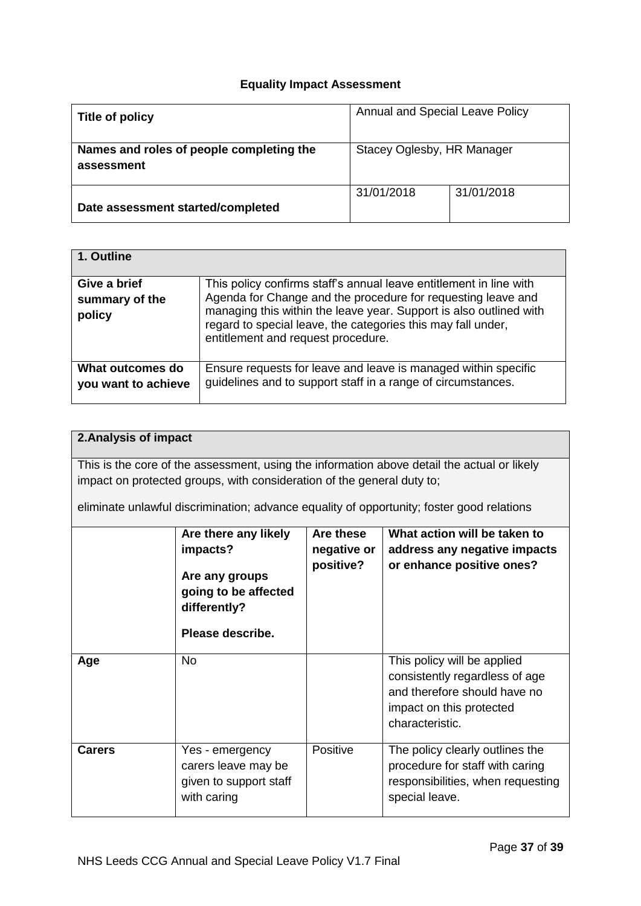# **Equality Impact Assessment**

| Title of policy                                        | Annual and Special Leave Policy |            |  |
|--------------------------------------------------------|---------------------------------|------------|--|
| Names and roles of people completing the<br>assessment | Stacey Oglesby, HR Manager      |            |  |
| Date assessment started/completed                      | 31/01/2018                      | 31/01/2018 |  |

| 1. Outline                               |                                                                                                                                                                                                                                                                                                                |
|------------------------------------------|----------------------------------------------------------------------------------------------------------------------------------------------------------------------------------------------------------------------------------------------------------------------------------------------------------------|
| Give a brief<br>summary of the<br>policy | This policy confirms staff's annual leave entitlement in line with<br>Agenda for Change and the procedure for requesting leave and<br>managing this within the leave year. Support is also outlined with<br>regard to special leave, the categories this may fall under,<br>entitlement and request procedure. |
| What outcomes do<br>you want to achieve  | Ensure requests for leave and leave is managed within specific<br>guidelines and to support staff in a range of circumstances.                                                                                                                                                                                 |

| 2. Analysis of impact |                                                                                                                              |           |                                                                                                                                              |  |  |
|-----------------------|------------------------------------------------------------------------------------------------------------------------------|-----------|----------------------------------------------------------------------------------------------------------------------------------------------|--|--|
|                       |                                                                                                                              |           | This is the core of the assessment, using the information above detail the actual or likely                                                  |  |  |
|                       | impact on protected groups, with consideration of the general duty to;                                                       |           |                                                                                                                                              |  |  |
|                       |                                                                                                                              |           | eliminate unlawful discrimination; advance equality of opportunity; foster good relations                                                    |  |  |
|                       | What action will be taken to<br>Are these<br>Are there any likely<br>impacts?<br>negative or<br>address any negative impacts |           |                                                                                                                                              |  |  |
|                       | Are any groups<br>going to be affected<br>differently?                                                                       | positive? | or enhance positive ones?                                                                                                                    |  |  |
|                       | Please describe.                                                                                                             |           |                                                                                                                                              |  |  |
| Age                   | No.                                                                                                                          |           | This policy will be applied<br>consistently regardless of age<br>and therefore should have no<br>impact on this protected<br>characteristic. |  |  |
| <b>Carers</b>         | Yes - emergency<br>carers leave may be<br>given to support staff<br>with caring                                              | Positive  | The policy clearly outlines the<br>procedure for staff with caring<br>responsibilities, when requesting<br>special leave.                    |  |  |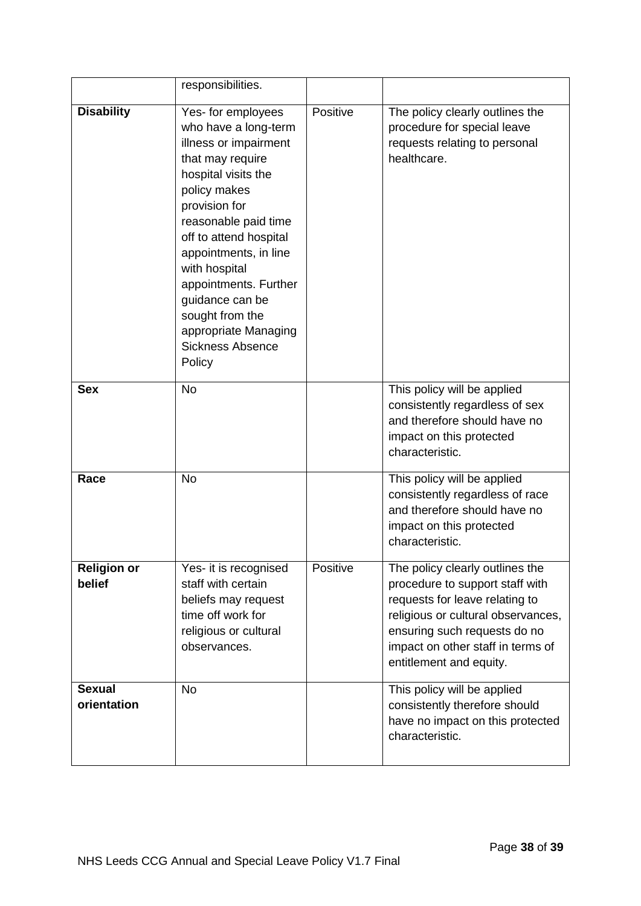|                              | responsibilities.                                                                                                                                                                                                                                                                                                                                                       |          |                                                                                                                                                                                                                                            |
|------------------------------|-------------------------------------------------------------------------------------------------------------------------------------------------------------------------------------------------------------------------------------------------------------------------------------------------------------------------------------------------------------------------|----------|--------------------------------------------------------------------------------------------------------------------------------------------------------------------------------------------------------------------------------------------|
| <b>Disability</b>            | Yes- for employees<br>who have a long-term<br>illness or impairment<br>that may require<br>hospital visits the<br>policy makes<br>provision for<br>reasonable paid time<br>off to attend hospital<br>appointments, in line<br>with hospital<br>appointments. Further<br>guidance can be<br>sought from the<br>appropriate Managing<br><b>Sickness Absence</b><br>Policy | Positive | The policy clearly outlines the<br>procedure for special leave<br>requests relating to personal<br>healthcare.                                                                                                                             |
| <b>Sex</b>                   | <b>No</b>                                                                                                                                                                                                                                                                                                                                                               |          | This policy will be applied<br>consistently regardless of sex<br>and therefore should have no<br>impact on this protected<br>characteristic.                                                                                               |
| Race                         | <b>No</b>                                                                                                                                                                                                                                                                                                                                                               |          | This policy will be applied<br>consistently regardless of race<br>and therefore should have no<br>impact on this protected<br>characteristic.                                                                                              |
| <b>Religion or</b><br>belief | Yes- it is recognised<br>staff with certain<br>beliefs may request<br>time off work for<br>religious or cultural<br>observances.                                                                                                                                                                                                                                        | Positive | The policy clearly outlines the<br>procedure to support staff with<br>requests for leave relating to<br>religious or cultural observances,<br>ensuring such requests do no<br>impact on other staff in terms of<br>entitlement and equity. |
| <b>Sexual</b><br>orientation | <b>No</b>                                                                                                                                                                                                                                                                                                                                                               |          | This policy will be applied<br>consistently therefore should<br>have no impact on this protected<br>characteristic.                                                                                                                        |